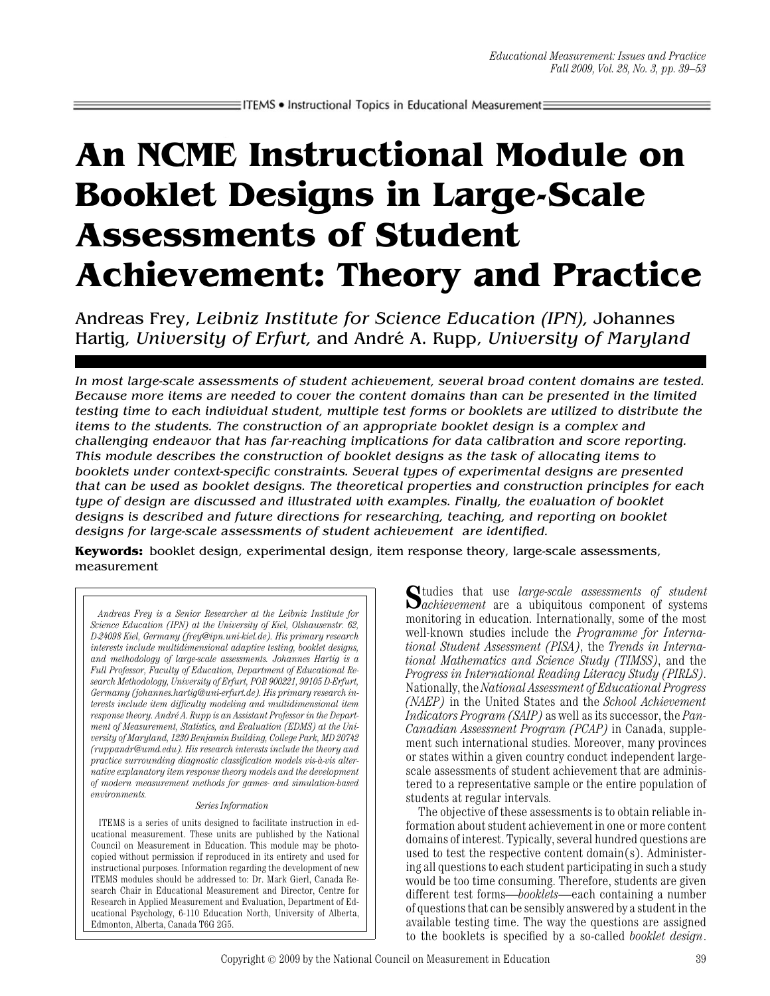**EXECUTEMS .** Instructional Topics in Educational Measurement

# **An NCME Instructional Module on Booklet Designs in Large-Scale Assessments of Student Achievement: Theory and Practice**

Andreas Frey, *Leibniz Institute for Science Education (IPN),* Johannes Hartig, University of Erfurt, and André A. Rupp, University of Maryland

*In most large-scale assessments of student achievement, several broad content domains are tested. Because more items are needed to cover the content domains than can be presented in the limited testing time to each individual student, multiple test forms or booklets are utilized to distribute the items to the students. The construction of an appropriate booklet design is a complex and challenging endeavor that has far-reaching implications for data calibration and score reporting. This module describes the construction of booklet designs as the task of allocating items to booklets under context-specific constraints. Several types of experimental designs are presented that can be used as booklet designs. The theoretical properties and construction principles for each type of design are discussed and illustrated with examples. Finally, the evaluation of booklet designs is described and future directions for researching, teaching, and reporting on booklet designs for large-scale assessments of student achievement are identified.*

**Keywords:** booklet design, experimental design, item response theory, large-scale assessments, measurement

*Andreas Frey is a Senior Researcher at the Leibniz Institute for Science Education (IPN) at the University of Kiel, Olshausenstr. 62, D-24098 Kiel, Germany (frey@ipn.uni-kiel.de). His primary research interests include multidimensional adaptive testing, booklet designs, and methodology of large-scale assessments. Johannes Hartig is a Full Professor, Faculty of Education, Department of Educational Research Methodology, University of Erfurt, POB 900221, 99105 D-Erfurt, Germamy (johannes.hartig@uni-erfurt.de). His primary research interests include item difficulty modeling and multidimensional item* response theory. André A. Rupp is an Assistant Professor in the Depart*ment of Measurement, Statistics, and Evaluation (EDMS) at the University of Maryland, 1230 Benjamin Building, College Park, MD 20742 (ruppandr@umd.edu). His research interests include the theory and* practice surrounding diagnostic classification models vis-à-vis alter*native explanatory item response theory models and the development of modern measurement methods for games- and simulation-based environments.*

#### *Series Information*

ITEMS is a series of units designed to facilitate instruction in educational measurement. These units are published by the National Council on Measurement in Education. This module may be photocopied without permission if reproduced in its entirety and used for instructional purposes. Information regarding the development of new ITEMS modules should be addressed to: Dr. Mark Gierl, Canada Research Chair in Educational Measurement and Director, Centre for Research in Applied Measurement and Evaluation, Department of Educational Psychology, 6-110 Education North, University of Alberta, Edmonton, Alberta, Canada T6G 2G5.

**S**tudies that use *large-scale assessments of student achievement* are a ubiquitous component of systems monitoring in education. Internationally, some of the most well-known studies include the *Programme for International Student Assessment (PISA)*, the *Trends in International Mathematics and Science Study (TIMSS)*, and the *Progress in International Reading Literacy Study (PIRLS)*. Nationally, the *National Assessment of Educational Progress (NAEP)* in the United States and the *School Achievement Indicators Program (SAIP)* as well as its successor, the *Pan-Canadian Assessment Program (PCAP)* in Canada, supplement such international studies. Moreover, many provinces or states within a given country conduct independent largescale assessments of student achievement that are administered to a representative sample or the entire population of students at regular intervals.

The objective of these assessments is to obtain reliable information about student achievement in one or more content domains of interest. Typically, several hundred questions are used to test the respective content domain(s). Administering all questions to each student participating in such a study would be too time consuming. Therefore, students are given different test forms—*booklets*—each containing a number of questions that can be sensibly answered by a student in the available testing time. The way the questions are assigned to the booklets is specified by a so-called *booklet design*.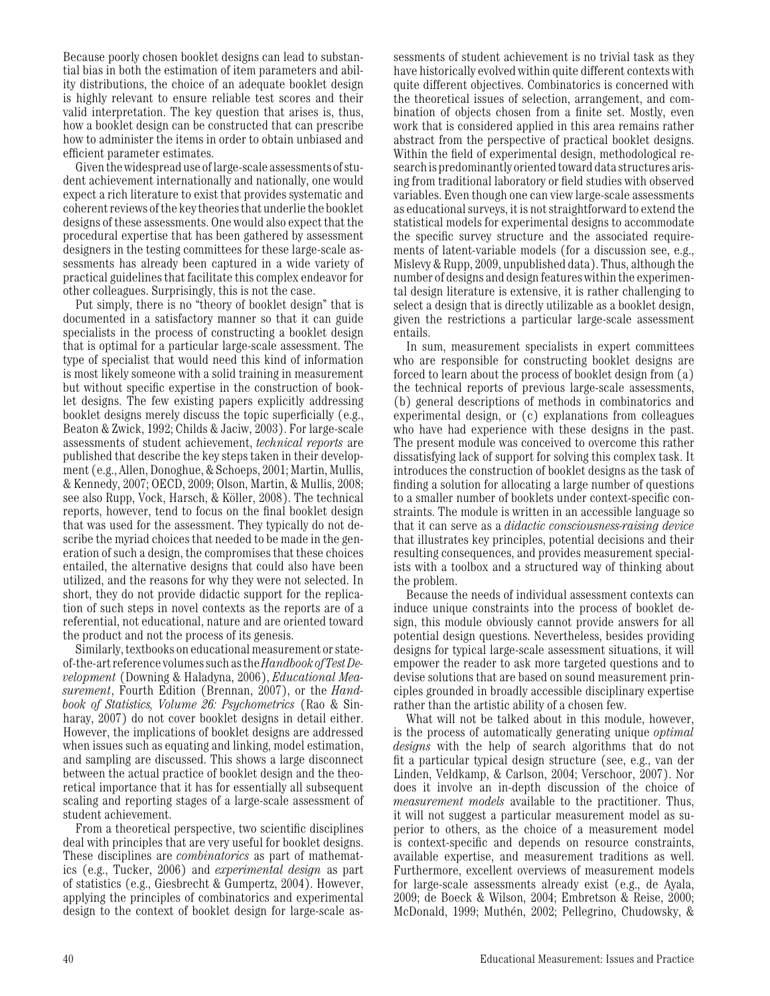Because poorly chosen booklet designs can lead to substantial bias in both the estimation of item parameters and ability distributions, the choice of an adequate booklet design is highly relevant to ensure reliable test scores and their valid interpretation. The key question that arises is, thus, how a booklet design can be constructed that can prescribe how to administer the items in order to obtain unbiased and efficient parameter estimates.

Given the widespread use oflarge-scale assessments of student achievement internationally and nationally, one would expect a rich literature to exist that provides systematic and coherent reviews of the key theories that underlie the booklet designs of these assessments. One would also expect that the procedural expertise that has been gathered by assessment designers in the testing committees for these large-scale assessments has already been captured in a wide variety of practical guidelines that facilitate this complex endeavor for other colleagues. Surprisingly, this is not the case.

Put simply, there is no "theory of booklet design" that is documented in a satisfactory manner so that it can guide specialists in the process of constructing a booklet design that is optimal for a particular large-scale assessment. The type of specialist that would need this kind of information is most likely someone with a solid training in measurement but without specific expertise in the construction of booklet designs. The few existing papers explicitly addressing booklet designs merely discuss the topic superficially (e.g., Beaton & Zwick, 1992; Childs & Jaciw, 2003). For large-scale assessments of student achievement, *technical reports* are published that describe the key steps taken in their development (e.g., Allen, Donoghue, & Schoeps, 2001; Martin, Mullis, & Kennedy, 2007; OECD, 2009; Olson, Martin, & Mullis, 2008; see also Rupp, Vock, Harsch, & Köller, 2008). The technical reports, however, tend to focus on the final booklet design that was used for the assessment. They typically do not describe the myriad choices that needed to be made in the generation of such a design, the compromises that these choices entailed, the alternative designs that could also have been utilized, and the reasons for why they were not selected. In short, they do not provide didactic support for the replication of such steps in novel contexts as the reports are of a referential, not educational, nature and are oriented toward the product and not the process of its genesis.

Similarly, textbooks on educational measurement or stateof-the-art reference volumes such as the*Handbook of Test Development* (Downing & Haladyna, 2006), *Educational Measurement*, Fourth Edition (Brennan, 2007), or the *Handbook of Statistics, Volume 26: Psychometrics* (Rao & Sinharay, 2007) do not cover booklet designs in detail either. However, the implications of booklet designs are addressed when issues such as equating and linking, model estimation, and sampling are discussed. This shows a large disconnect between the actual practice of booklet design and the theoretical importance that it has for essentially all subsequent scaling and reporting stages of a large-scale assessment of student achievement.

From a theoretical perspective, two scientific disciplines deal with principles that are very useful for booklet designs. These disciplines are *combinatorics* as part of mathematics (e.g., Tucker, 2006) and *experimental design* as part of statistics (e.g., Giesbrecht & Gumpertz, 2004). However, applying the principles of combinatorics and experimental design to the context of booklet design for large-scale assessments of student achievement is no trivial task as they have historically evolved within quite different contexts with quite different objectives. Combinatorics is concerned with the theoretical issues of selection, arrangement, and combination of objects chosen from a finite set. Mostly, even work that is considered applied in this area remains rather abstract from the perspective of practical booklet designs. Within the field of experimental design, methodological researchis predominantly oriented toward data structures arising from traditional laboratory or field studies with observed variables. Even though one can view large-scale assessments as educational surveys, it is not straightforward to extend the statistical models for experimental designs to accommodate the specific survey structure and the associated requirements of latent-variable models (for a discussion see, e.g., Mislevy & Rupp, 2009, unpublished data). Thus, although the number of designs and design features within the experimental design literature is extensive, it is rather challenging to select a design that is directly utilizable as a booklet design, given the restrictions a particular large-scale assessment entails.

In sum, measurement specialists in expert committees who are responsible for constructing booklet designs are forced to learn about the process of booklet design from (a) the technical reports of previous large-scale assessments, (b) general descriptions of methods in combinatorics and experimental design, or (c) explanations from colleagues who have had experience with these designs in the past. The present module was conceived to overcome this rather dissatisfying lack of support for solving this complex task. It introduces the construction of booklet designs as the task of finding a solution for allocating a large number of questions to a smaller number of booklets under context-specific constraints. The module is written in an accessible language so that it can serve as a *didactic consciousness-raising device* that illustrates key principles, potential decisions and their resulting consequences, and provides measurement specialists with a toolbox and a structured way of thinking about the problem.

Because the needs of individual assessment contexts can induce unique constraints into the process of booklet design, this module obviously cannot provide answers for all potential design questions. Nevertheless, besides providing designs for typical large-scale assessment situations, it will empower the reader to ask more targeted questions and to devise solutions that are based on sound measurement principles grounded in broadly accessible disciplinary expertise rather than the artistic ability of a chosen few.

What will not be talked about in this module, however, is the process of automatically generating unique *optimal designs* with the help of search algorithms that do not fit a particular typical design structure (see, e.g., van der Linden, Veldkamp, & Carlson, 2004; Verschoor, 2007). Nor does it involve an in-depth discussion of the choice of *measurement models* available to the practitioner. Thus, it will not suggest a particular measurement model as superior to others, as the choice of a measurement model is context-specific and depends on resource constraints, available expertise, and measurement traditions as well. Furthermore, excellent overviews of measurement models for large-scale assessments already exist (e.g., de Ayala, 2009; de Boeck & Wilson, 2004; Embretson & Reise, 2000; McDonald, 1999; Muthén, 2002; Pellegrino, Chudowsky, &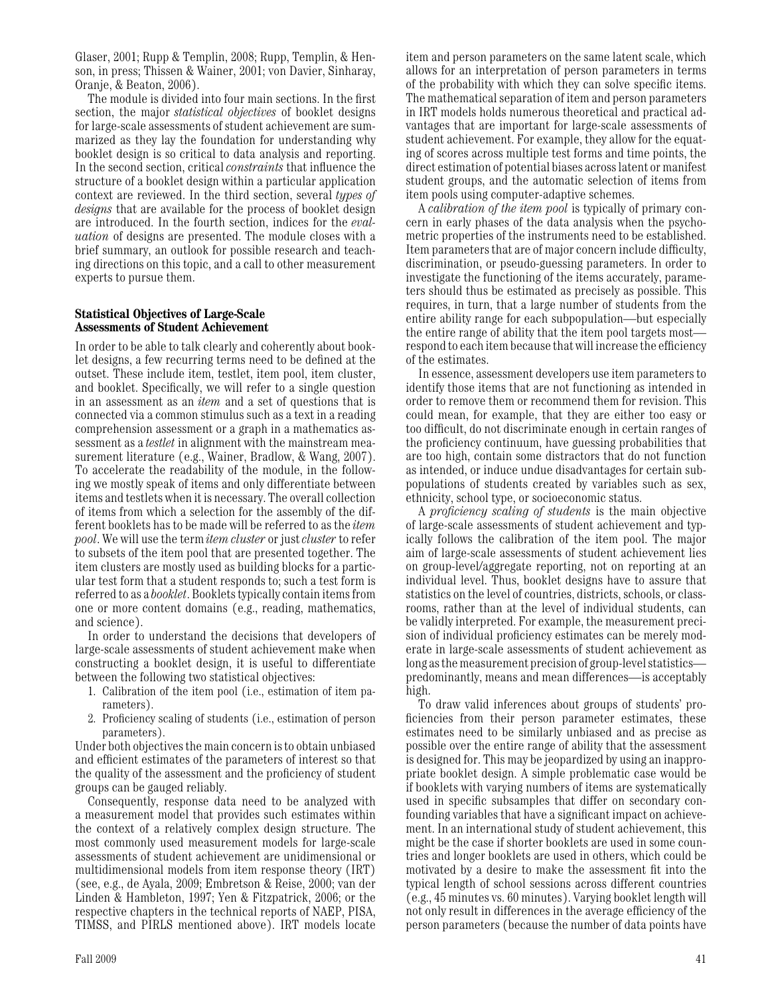Glaser, 2001; Rupp & Templin, 2008; Rupp, Templin, & Henson, in press; Thissen & Wainer, 2001; von Davier, Sinharay, Oranje, & Beaton, 2006).

The module is divided into four main sections. In the first section, the major *statistical objectives* of booklet designs for large-scale assessments of student achievement are summarized as they lay the foundation for understanding why booklet design is so critical to data analysis and reporting. In the second section, critical *constraints* that influence the structure of a booklet design within a particular application context are reviewed. In the third section, several *types of designs* that are available for the process of booklet design are introduced. In the fourth section, indices for the *evaluation* of designs are presented. The module closes with a brief summary, an outlook for possible research and teaching directions on this topic, and a call to other measurement experts to pursue them.

#### **Statistical Objectives of Large-Scale Assessments of Student Achievement**

In order to be able to talk clearly and coherently about booklet designs, a few recurring terms need to be defined at the outset. These include item, testlet, item pool, item cluster, and booklet. Specifically, we will refer to a single question in an assessment as an *item* and a set of questions that is connected via a common stimulus such as a text in a reading comprehension assessment or a graph in a mathematics assessment as a *testlet* in alignment with the mainstream measurement literature (e.g., Wainer, Bradlow, & Wang, 2007). To accelerate the readability of the module, in the following we mostly speak of items and only differentiate between items and testlets when it is necessary. The overall collection of items from which a selection for the assembly of the different booklets has to be made will be referred to as the *item pool*. We will use the term *item cluster* or just*cluster*to refer to subsets of the item pool that are presented together. The item clusters are mostly used as building blocks for a particular test form that a student responds to; such a test form is referred to as a *booklet*. Booklets typically contain items from one or more content domains (e.g., reading, mathematics, and science).

In order to understand the decisions that developers of large-scale assessments of student achievement make when constructing a booklet design, it is useful to differentiate between the following two statistical objectives:

- 1. Calibration of the item pool (i.e., estimation of item parameters).
- 2. Proficiency scaling of students (i.e., estimation of person parameters).

Under both objectives the main concern is to obtain unbiased and efficient estimates of the parameters of interest so that the quality of the assessment and the proficiency of student groups can be gauged reliably.

Consequently, response data need to be analyzed with a measurement model that provides such estimates within the context of a relatively complex design structure. The most commonly used measurement models for large-scale assessments of student achievement are unidimensional or multidimensional models from item response theory (IRT) (see, e.g., de Ayala, 2009; Embretson & Reise, 2000; van der Linden & Hambleton, 1997; Yen & Fitzpatrick, 2006; or the respective chapters in the technical reports of NAEP, PISA, TIMSS, and PIRLS mentioned above). IRT models locate

item and person parameters on the same latent scale, which allows for an interpretation of person parameters in terms of the probability with which they can solve specific items. The mathematical separation of item and person parameters in IRT models holds numerous theoretical and practical advantages that are important for large-scale assessments of student achievement. For example, they allow for the equating of scores across multiple test forms and time points, the direct estimation of potential biases across latent or manifest student groups, and the automatic selection of items from item pools using computer-adaptive schemes.

A *calibration of the item pool* is typically of primary concern in early phases of the data analysis when the psychometric properties of the instruments need to be established. Item parameters that are of major concern include difficulty, discrimination, or pseudo-guessing parameters. In order to investigate the functioning of the items accurately, parameters should thus be estimated as precisely as possible. This requires, in turn, that a large number of students from the entire ability range for each subpopulation—but especially the entire range of ability that the item pool targets most respond to each item because that will increase the efficiency of the estimates.

In essence, assessment developers use item parameters to identify those items that are not functioning as intended in order to remove them or recommend them for revision. This could mean, for example, that they are either too easy or too difficult, do not discriminate enough in certain ranges of the proficiency continuum, have guessing probabilities that are too high, contain some distractors that do not function as intended, or induce undue disadvantages for certain subpopulations of students created by variables such as sex, ethnicity, school type, or socioeconomic status.

A *proficiency scaling of students* is the main objective of large-scale assessments of student achievement and typically follows the calibration of the item pool. The major aim of large-scale assessments of student achievement lies on group-level/aggregate reporting, not on reporting at an individual level. Thus, booklet designs have to assure that statistics on the level of countries, districts, schools, or classrooms, rather than at the level of individual students, can be validly interpreted. For example, the measurement precision of individual proficiency estimates can be merely moderate in large-scale assessments of student achievement as long as the measurement precision of group-level statistics predominantly, means and mean differences—is acceptably high.

To draw valid inferences about groups of students' proficiencies from their person parameter estimates, these estimates need to be similarly unbiased and as precise as possible over the entire range of ability that the assessment is designed for. This may be jeopardized by using an inappropriate booklet design. A simple problematic case would be if booklets with varying numbers of items are systematically used in specific subsamples that differ on secondary confounding variables that have a significant impact on achievement. In an international study of student achievement, this might be the case if shorter booklets are used in some countries and longer booklets are used in others, which could be motivated by a desire to make the assessment fit into the typical length of school sessions across different countries (e.g., 45 minutes vs. 60 minutes). Varying booklet length will not only result in differences in the average efficiency of the person parameters (because the number of data points have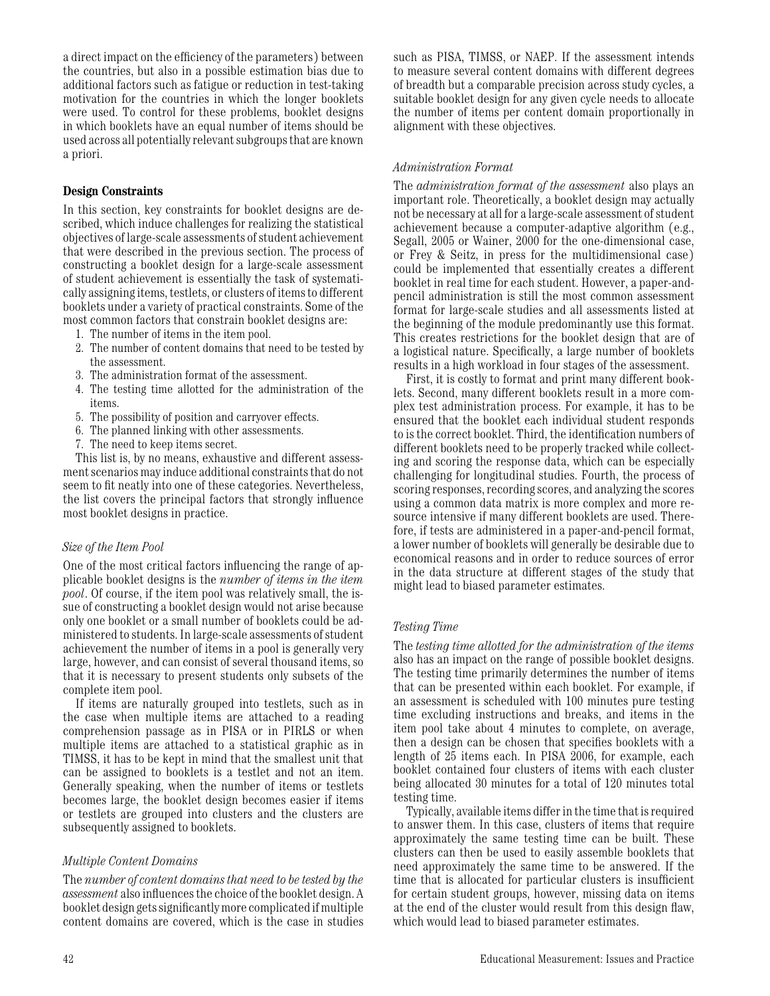a direct impact on the efficiency of the parameters) between the countries, but also in a possible estimation bias due to additional factors such as fatigue or reduction in test-taking motivation for the countries in which the longer booklets were used. To control for these problems, booklet designs in which booklets have an equal number of items should be used across all potentially relevant subgroups that are known a priori.

## **Design Constraints**

In this section, key constraints for booklet designs are described, which induce challenges for realizing the statistical objectives of large-scale assessments of student achievement that were described in the previous section. The process of constructing a booklet design for a large-scale assessment of student achievement is essentially the task of systematically assigning items, testlets, or clusters of items to different booklets under a variety of practical constraints. Some of the most common factors that constrain booklet designs are:

- 1. The number of items in the item pool.
- 2. The number of content domains that need to be tested by the assessment.
- 3. The administration format of the assessment.
- 4. The testing time allotted for the administration of the items.
- 5. The possibility of position and carryover effects.
- 6. The planned linking with other assessments.
- 7. The need to keep items secret.

This list is, by no means, exhaustive and different assessment scenarios may induce additional constraints that do not seem to fit neatly into one of these categories. Nevertheless, the list covers the principal factors that strongly influence most booklet designs in practice.

## *Size of the Item Pool*

One of the most critical factors influencing the range of applicable booklet designs is the *number of items in the item pool*. Of course, if the item pool was relatively small, the issue of constructing a booklet design would not arise because only one booklet or a small number of booklets could be administered to students. In large-scale assessments of student achievement the number of items in a pool is generally very large, however, and can consist of several thousand items, so that it is necessary to present students only subsets of the complete item pool.

If items are naturally grouped into testlets, such as in the case when multiple items are attached to a reading comprehension passage as in PISA or in PIRLS or when multiple items are attached to a statistical graphic as in TIMSS, it has to be kept in mind that the smallest unit that can be assigned to booklets is a testlet and not an item. Generally speaking, when the number of items or testlets becomes large, the booklet design becomes easier if items or testlets are grouped into clusters and the clusters are subsequently assigned to booklets.

## *Multiple Content Domains*

The *number of content domains that need to be tested by the assessment* also influences the choice of the booklet design. A booklet design gets significantly more complicatedif multiple content domains are covered, which is the case in studies such as PISA, TIMSS, or NAEP. If the assessment intends to measure several content domains with different degrees of breadth but a comparable precision across study cycles, a suitable booklet design for any given cycle needs to allocate the number of items per content domain proportionally in alignment with these objectives.

## *Administration Format*

The *administration format of the assessment* also plays an important role. Theoretically, a booklet design may actually not be necessary at all for a large-scale assessment of student achievement because a computer-adaptive algorithm (e.g., Segall, 2005 or Wainer, 2000 for the one-dimensional case, or Frey & Seitz, in press for the multidimensional case) could be implemented that essentially creates a different booklet in real time for each student. However, a paper-andpencil administration is still the most common assessment format for large-scale studies and all assessments listed at the beginning of the module predominantly use this format. This creates restrictions for the booklet design that are of a logistical nature. Specifically, a large number of booklets results in a high workload in four stages of the assessment.

First, it is costly to format and print many different booklets. Second, many different booklets result in a more complex test administration process. For example, it has to be ensured that the booklet each individual student responds to is the correct booklet. Third, the identification numbers of different booklets need to be properly tracked while collecting and scoring the response data, which can be especially challenging for longitudinal studies. Fourth, the process of scoring responses, recording scores, and analyzing the scores using a common data matrix is more complex and more resource intensive if many different booklets are used. Therefore, if tests are administered in a paper-and-pencil format, a lower number of booklets will generally be desirable due to economical reasons and in order to reduce sources of error in the data structure at different stages of the study that might lead to biased parameter estimates.

## *Testing Time*

The *testing time allotted for the administration of the items* also has an impact on the range of possible booklet designs. The testing time primarily determines the number of items that can be presented within each booklet. For example, if an assessment is scheduled with 100 minutes pure testing time excluding instructions and breaks, and items in the item pool take about 4 minutes to complete, on average, then a design can be chosen that specifies booklets with a length of 25 items each. In PISA 2006, for example, each booklet contained four clusters of items with each cluster being allocated 30 minutes for a total of 120 minutes total testing time.

Typically, available items differ in the time that is required to answer them. In this case, clusters of items that require approximately the same testing time can be built. These clusters can then be used to easily assemble booklets that need approximately the same time to be answered. If the time that is allocated for particular clusters is insufficient for certain student groups, however, missing data on items at the end of the cluster would result from this design flaw, which would lead to biased parameter estimates.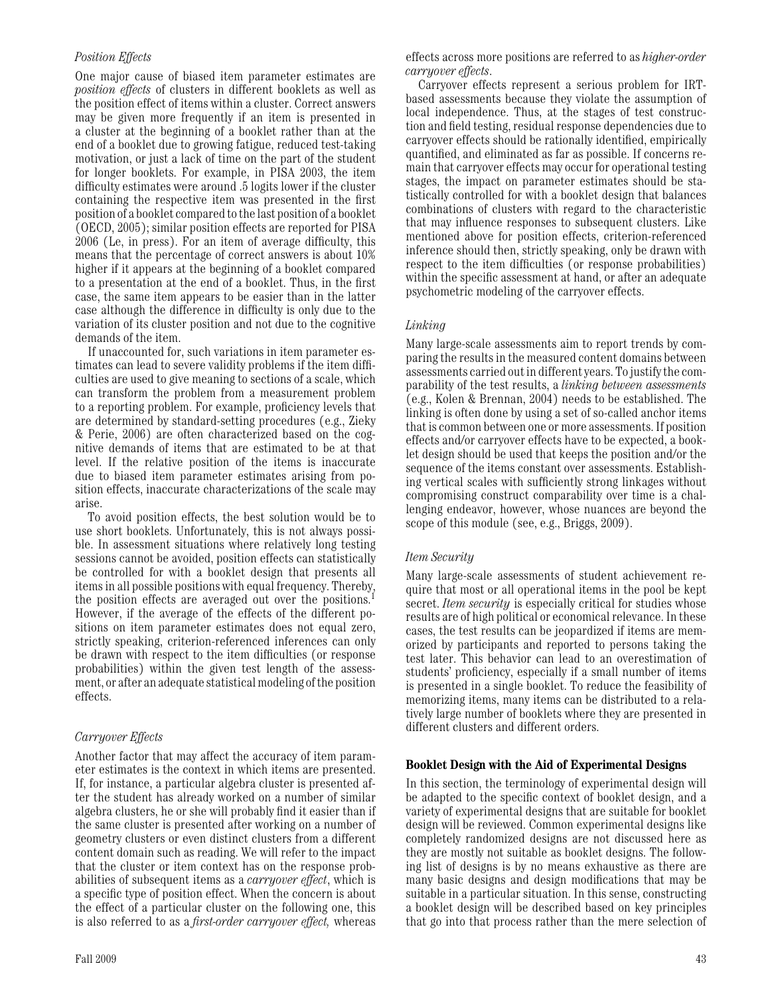## *Position Effects*

One major cause of biased item parameter estimates are *position effects* of clusters in different booklets as well as the position effect of items within a cluster. Correct answers may be given more frequently if an item is presented in a cluster at the beginning of a booklet rather than at the end of a booklet due to growing fatigue, reduced test-taking motivation, or just a lack of time on the part of the student for longer booklets. For example, in PISA 2003, the item difficulty estimates were around .5 logits lower if the cluster containing the respective item was presented in the first position of a booklet compared to the last position of a booklet (OECD, 2005); similar position effects are reported for PISA 2006 (Le, in press). For an item of average difficulty, this means that the percentage of correct answers is about 10% higher if it appears at the beginning of a booklet compared to a presentation at the end of a booklet. Thus, in the first case, the same item appears to be easier than in the latter case although the difference in difficulty is only due to the variation of its cluster position and not due to the cognitive demands of the item.

If unaccounted for, such variations in item parameter estimates can lead to severe validity problems if the item difficulties are used to give meaning to sections of a scale, which can transform the problem from a measurement problem to a reporting problem. For example, proficiency levels that are determined by standard-setting procedures (e.g., Zieky & Perie, 2006) are often characterized based on the cognitive demands of items that are estimated to be at that level. If the relative position of the items is inaccurate due to biased item parameter estimates arising from position effects, inaccurate characterizations of the scale may arise.

To avoid position effects, the best solution would be to use short booklets. Unfortunately, this is not always possible. In assessment situations where relatively long testing sessions cannot be avoided, position effects can statistically be controlled for with a booklet design that presents all items in all possible positions with equal frequency. Thereby, the position effects are averaged out over the positions.<sup>1</sup> However, if the average of the effects of the different positions on item parameter estimates does not equal zero, strictly speaking, criterion-referenced inferences can only be drawn with respect to the item difficulties (or response probabilities) within the given test length of the assessment, or after an adequate statistical modeling of the position effects.

## *Carryover Effects*

Another factor that may affect the accuracy of item parameter estimates is the context in which items are presented. If, for instance, a particular algebra cluster is presented after the student has already worked on a number of similar algebra clusters, he or she will probably find it easier than if the same cluster is presented after working on a number of geometry clusters or even distinct clusters from a different content domain such as reading. We will refer to the impact that the cluster or item context has on the response probabilities of subsequent items as a *carryover effect*, which is a specific type of position effect. When the concern is about the effect of a particular cluster on the following one, this is also referred to as a *first-order carryover effect,* whereas effects across more positions are referred to as *higher-order carryover effects*.

Carryover effects represent a serious problem for IRTbased assessments because they violate the assumption of local independence. Thus, at the stages of test construction and field testing, residual response dependencies due to carryover effects should be rationally identified, empirically quantified, and eliminated as far as possible. If concerns remain that carryover effects may occur for operational testing stages, the impact on parameter estimates should be statistically controlled for with a booklet design that balances combinations of clusters with regard to the characteristic that may influence responses to subsequent clusters. Like mentioned above for position effects, criterion-referenced inference should then, strictly speaking, only be drawn with respect to the item difficulties (or response probabilities) within the specific assessment at hand, or after an adequate psychometric modeling of the carryover effects.

## *Linking*

Many large-scale assessments aim to report trends by comparing the results in the measured content domains between assessments carried out in different years. To justify the comparability of the test results, a *linking between assessments* (e.g., Kolen & Brennan, 2004) needs to be established. The linking is often done by using a set of so-called anchor items that is common between one or more assessments. If position effects and/or carryover effects have to be expected, a booklet design should be used that keeps the position and/or the sequence of the items constant over assessments. Establishing vertical scales with sufficiently strong linkages without compromising construct comparability over time is a challenging endeavor, however, whose nuances are beyond the scope of this module (see, e.g., Briggs, 2009).

## *Item Security*

Many large-scale assessments of student achievement require that most or all operational items in the pool be kept secret. *Item security* is especially critical for studies whose results are of high political or economical relevance. In these cases, the test results can be jeopardized if items are memorized by participants and reported to persons taking the test later. This behavior can lead to an overestimation of students' proficiency, especially if a small number of items is presented in a single booklet. To reduce the feasibility of memorizing items, many items can be distributed to a relatively large number of booklets where they are presented in different clusters and different orders.

## **Booklet Design with the Aid of Experimental Designs**

In this section, the terminology of experimental design will be adapted to the specific context of booklet design, and a variety of experimental designs that are suitable for booklet design will be reviewed. Common experimental designs like completely randomized designs are not discussed here as they are mostly not suitable as booklet designs. The following list of designs is by no means exhaustive as there are many basic designs and design modifications that may be suitable in a particular situation. In this sense, constructing a booklet design will be described based on key principles that go into that process rather than the mere selection of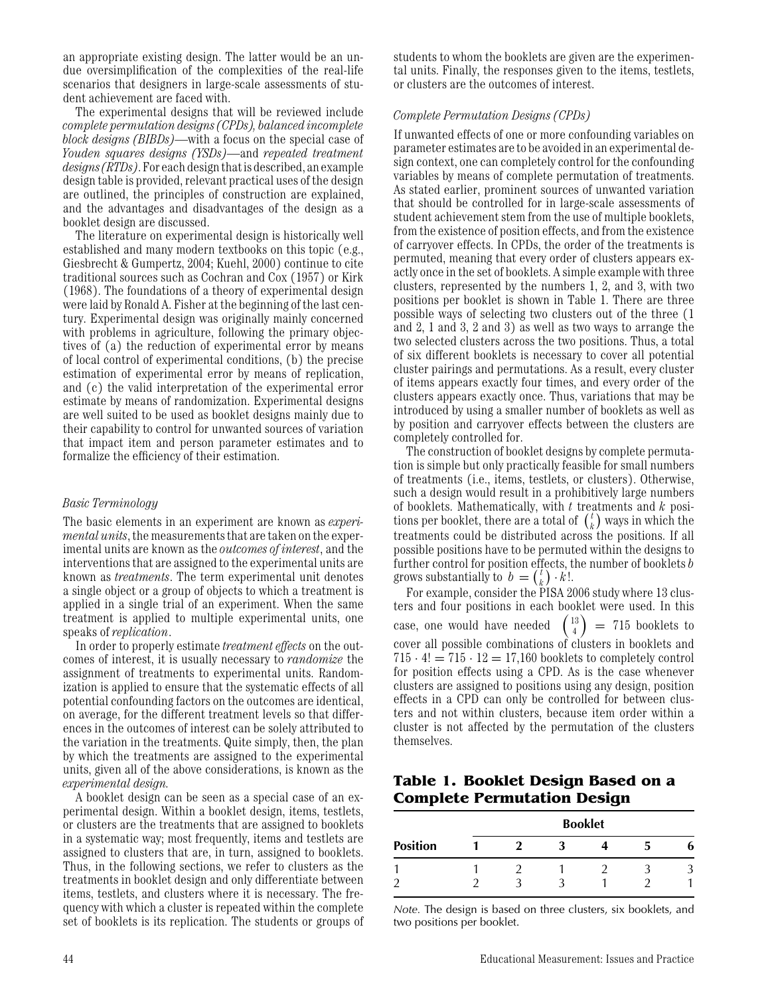an appropriate existing design. The latter would be an undue oversimplification of the complexities of the real-life scenarios that designers in large-scale assessments of student achievement are faced with.

The experimental designs that will be reviewed include *complete permutation designs (CPDs), balanced incomplete block designs (BIBDs)*—with a focus on the special case of *Youden squares designs (YSDs)*—and *repeated treatment designs (RTDs)*. For each design thatis described, an example design table is provided, relevant practical uses of the design are outlined, the principles of construction are explained, and the advantages and disadvantages of the design as a booklet design are discussed.

The literature on experimental design is historically well established and many modern textbooks on this topic (e.g., Giesbrecht & Gumpertz, 2004; Kuehl, 2000) continue to cite traditional sources such as Cochran and Cox (1957) or Kirk (1968). The foundations of a theory of experimental design were laid by Ronald A. Fisher at the beginning of the last century. Experimental design was originally mainly concerned with problems in agriculture, following the primary objectives of (a) the reduction of experimental error by means of local control of experimental conditions, (b) the precise estimation of experimental error by means of replication, and (c) the valid interpretation of the experimental error estimate by means of randomization. Experimental designs are well suited to be used as booklet designs mainly due to their capability to control for unwanted sources of variation that impact item and person parameter estimates and to formalize the efficiency of their estimation.

#### *Basic Terminology*

The basic elements in an experiment are known as *experimental units*, the measurements that are taken on the experimental units are known as the *outcomes of interest*, and the interventions that are assigned to the experimental units are known as *treatments*. The term experimental unit denotes a single object or a group of objects to which a treatment is applied in a single trial of an experiment. When the same treatment is applied to multiple experimental units, one speaks of *replication*.

In order to properly estimate *treatment effects* on the outcomes of interest, it is usually necessary to *randomize* the assignment of treatments to experimental units. Randomization is applied to ensure that the systematic effects of all potential confounding factors on the outcomes are identical, on average, for the different treatment levels so that differences in the outcomes of interest can be solely attributed to the variation in the treatments. Quite simply, then, the plan by which the treatments are assigned to the experimental units, given all of the above considerations, is known as the *experimental design.*

A booklet design can be seen as a special case of an experimental design. Within a booklet design, items, testlets, or clusters are the treatments that are assigned to booklets in a systematic way; most frequently, items and testlets are assigned to clusters that are, in turn, assigned to booklets. Thus, in the following sections, we refer to clusters as the treatments in booklet design and only differentiate between items, testlets, and clusters where it is necessary. The frequency with which a cluster is repeated within the complete set of booklets is its replication. The students or groups of students to whom the booklets are given are the experimental units. Finally, the responses given to the items, testlets, or clusters are the outcomes of interest.

## *Complete Permutation Designs (CPDs)*

If unwanted effects of one or more confounding variables on parameter estimates are to be avoided in an experimental design context, one can completely control for the confounding variables by means of complete permutation of treatments. As stated earlier, prominent sources of unwanted variation that should be controlled for in large-scale assessments of student achievement stem from the use of multiple booklets, from the existence of position effects, and from the existence of carryover effects. In CPDs, the order of the treatments is permuted, meaning that every order of clusters appears exactly once in the set of booklets. A simple example with three clusters, represented by the numbers 1, 2, and 3, with two positions per booklet is shown in Table 1. There are three possible ways of selecting two clusters out of the three (1 and 2, 1 and 3, 2 and 3) as well as two ways to arrange the two selected clusters across the two positions. Thus, a total of six different booklets is necessary to cover all potential cluster pairings and permutations. As a result, every cluster of items appears exactly four times, and every order of the clusters appears exactly once. Thus, variations that may be introduced by using a smaller number of booklets as well as by position and carryover effects between the clusters are completely controlled for.

The construction of booklet designs by complete permutation is simple but only practically feasible for small numbers of treatments (i.e., items, testlets, or clusters). Otherwise, such a design would result in a prohibitively large numbers of booklets. Mathematically, with *t* treatments and *k* positions per booklet, there are a total of  $\binom{t}{k}$  $\binom{t}{k}$  ways in which the treatments could be distributed across the positions. If all possible positions have to be permuted within the designs to further control for position effects, the number of booklets *b* grows substantially to  $b = \begin{pmatrix} \frac{t}{k} \\ \frac{t}{k} \end{pmatrix}$  $\binom{k}{k} \cdot k!$ .

For example, consider the PISA 2006 study where 13 clusters and four positions in each booklet were used. In this case, one would have needed  $\binom{13}{4}$  = 715 booklets to cover all possible combinations of clusters in booklets and  $715 \cdot 4! = 715 \cdot 12 = 17,160$  booklets to completely control for position effects using a CPD. As is the case whenever clusters are assigned to positions using any design, position effects in a CPD can only be controlled for between clusters and not within clusters, because item order within a cluster is not affected by the permutation of the clusters themselves.

## **Table 1. Booklet Design Based on a Complete Permutation Design**

| <b>Position</b> | <b>Booklet</b> |  |  |  |  |  |  |  |  |
|-----------------|----------------|--|--|--|--|--|--|--|--|
|                 |                |  |  |  |  |  |  |  |  |
|                 |                |  |  |  |  |  |  |  |  |
|                 |                |  |  |  |  |  |  |  |  |

*Note.* The design is based on three clusters, six booklets, and two positions per booklet.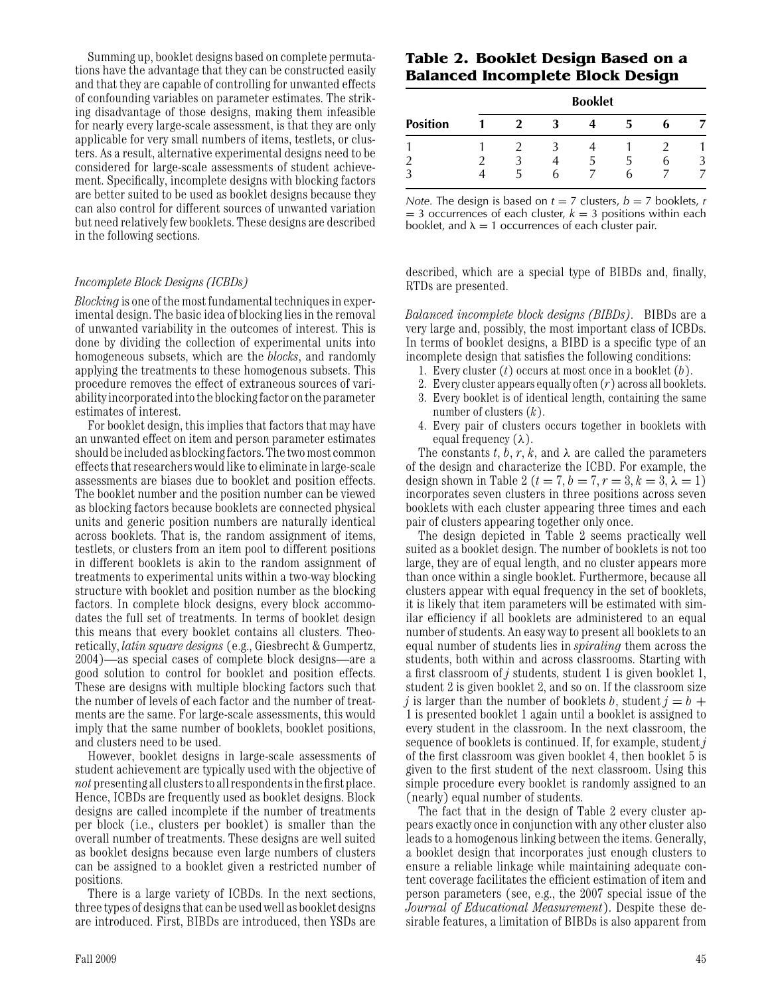Summing up, booklet designs based on complete permutations have the advantage that they can be constructed easily and that they are capable of controlling for unwanted effects of confounding variables on parameter estimates. The striking disadvantage of those designs, making them infeasible for nearly every large-scale assessment, is that they are only applicable for very small numbers of items, testlets, or clusters. As a result, alternative experimental designs need to be considered for large-scale assessments of student achievement. Specifically, incomplete designs with blocking factors are better suited to be used as booklet designs because they can also control for different sources of unwanted variation but need relatively few booklets. These designs are described in the following sections.

#### *Incomplete Block Designs (ICBDs)*

*Blocking* is one of the most fundamental techniques in experimental design. The basic idea of blocking lies in the removal of unwanted variability in the outcomes of interest. This is done by dividing the collection of experimental units into homogeneous subsets, which are the *blocks*, and randomly applying the treatments to these homogenous subsets. This procedure removes the effect of extraneous sources of variabilityincorporatedinto the blockingfactor on the parameter estimates of interest.

For booklet design, this implies that factors that may have an unwanted effect on item and person parameter estimates should beincluded as blockingfactors. The two most common effects that researchers would like to eliminate in large-scale assessments are biases due to booklet and position effects. The booklet number and the position number can be viewed as blocking factors because booklets are connected physical units and generic position numbers are naturally identical across booklets. That is, the random assignment of items, testlets, or clusters from an item pool to different positions in different booklets is akin to the random assignment of treatments to experimental units within a two-way blocking structure with booklet and position number as the blocking factors. In complete block designs, every block accommodates the full set of treatments. In terms of booklet design this means that every booklet contains all clusters. Theoretically, *latin square designs* (e.g., Giesbrecht & Gumpertz, 2004)—as special cases of complete block designs—are a good solution to control for booklet and position effects. These are designs with multiple blocking factors such that the number of levels of each factor and the number of treatments are the same. For large-scale assessments, this would imply that the same number of booklets, booklet positions, and clusters need to be used.

However, booklet designs in large-scale assessments of student achievement are typically used with the objective of *not* presenting all clusters to all respondentsin the first place. Hence, ICBDs are frequently used as booklet designs. Block designs are called incomplete if the number of treatments per block (i.e., clusters per booklet) is smaller than the overall number of treatments. These designs are well suited as booklet designs because even large numbers of clusters can be assigned to a booklet given a restricted number of positions.

There is a large variety of ICBDs. In the next sections, three types of designs that can be used well as booklet designs are introduced. First, BIBDs are introduced, then YSDs are

## **Table 2. Booklet Design Based on a Balanced Incomplete Block Design**

| <b>Position</b> | <b>Booklet</b> |   |   |  |  |   |  |  |  |  |
|-----------------|----------------|---|---|--|--|---|--|--|--|--|
|                 |                |   |   |  |  | h |  |  |  |  |
|                 |                |   |   |  |  |   |  |  |  |  |
|                 |                | 3 |   |  |  |   |  |  |  |  |
|                 |                |   | h |  |  |   |  |  |  |  |

*Note.* The design is based on  $t = 7$  clusters,  $b = 7$  booklets,  $r = 7$  $=$  3 occurrences of each cluster,  $k = 3$  positions within each booklet, and  $\lambda = 1$  occurrences of each cluster pair.

described, which are a special type of BIBDs and, finally, RTDs are presented.

*Balanced incomplete block designs (BIBDs)*. BIBDs are a very large and, possibly, the most important class of ICBDs. In terms of booklet designs, a BIBD is a specific type of an incomplete design that satisfies the following conditions:

- 1. Every cluster (*t*) occurs at most once in a booklet (*b*).
- 2. Every cluster appears equally often (*r*) across all booklets.
- 3. Every booklet is of identical length, containing the same number of clusters (*k*).
- 4. Every pair of clusters occurs together in booklets with equal frequency  $(\lambda)$ .

The constants  $t, b, r, k$ , and  $\lambda$  are called the parameters of the design and characterize the ICBD. For example, the design shown in Table 2 ( $t = 7, b = 7, r = 3, k = 3, \lambda = 1$ ) incorporates seven clusters in three positions across seven booklets with each cluster appearing three times and each pair of clusters appearing together only once.

The design depicted in Table 2 seems practically well suited as a booklet design. The number of booklets is not too large, they are of equal length, and no cluster appears more than once within a single booklet. Furthermore, because all clusters appear with equal frequency in the set of booklets, it is likely that item parameters will be estimated with similar efficiency if all booklets are administered to an equal number of students. An easy way to present all booklets to an equal number of students lies in *spiraling* them across the students, both within and across classrooms. Starting with a first classroom of *j* students, student 1 is given booklet 1, student 2 is given booklet 2, and so on. If the classroom size *j* is larger than the number of booklets *b*, student  $j = b$  + 1 is presented booklet 1 again until a booklet is assigned to every student in the classroom. In the next classroom, the sequence of booklets is continued. If, for example, student *j* of the first classroom was given booklet 4, then booklet 5 is given to the first student of the next classroom. Using this simple procedure every booklet is randomly assigned to an (nearly) equal number of students.

The fact that in the design of Table 2 every cluster appears exactly once in conjunction with any other cluster also leads to a homogenous linking between the items. Generally, a booklet design that incorporates just enough clusters to ensure a reliable linkage while maintaining adequate content coverage facilitates the efficient estimation of item and person parameters (see, e.g., the 2007 special issue of the *Journal of Educational Measurement*). Despite these desirable features, a limitation of BIBDs is also apparent from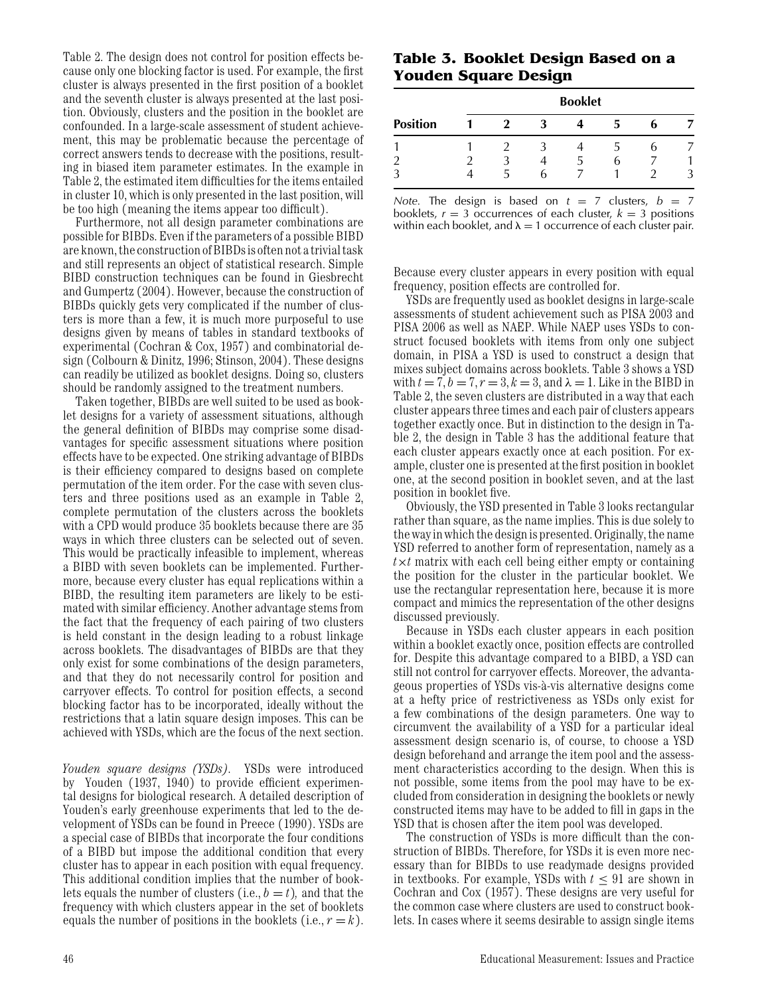Table 2. The design does not control for position effects because only one blocking factor is used. For example, the first cluster is always presented in the first position of a booklet and the seventh cluster is always presented at the last position. Obviously, clusters and the position in the booklet are confounded. In a large-scale assessment of student achievement, this may be problematic because the percentage of correct answers tends to decrease with the positions, resulting in biased item parameter estimates. In the example in Table 2, the estimated item difficulties for the items entailed in cluster 10, which is only presented in the last position, will be too high (meaning the items appear too difficult).

Furthermore, not all design parameter combinations are possible for BIBDs. Even if the parameters of a possible BIBD are known, the construction of BIBDsis often not a trivial task and still represents an object of statistical research. Simple BIBD construction techniques can be found in Giesbrecht and Gumpertz (2004). However, because the construction of BIBDs quickly gets very complicated if the number of clusters is more than a few, it is much more purposeful to use designs given by means of tables in standard textbooks of experimental (Cochran & Cox, 1957) and combinatorial design (Colbourn & Dinitz, 1996; Stinson, 2004). These designs can readily be utilized as booklet designs. Doing so, clusters should be randomly assigned to the treatment numbers.

Taken together, BIBDs are well suited to be used as booklet designs for a variety of assessment situations, although the general definition of BIBDs may comprise some disadvantages for specific assessment situations where position effects have to be expected. One striking advantage of BIBDs is their efficiency compared to designs based on complete permutation of the item order. For the case with seven clusters and three positions used as an example in Table 2, complete permutation of the clusters across the booklets with a CPD would produce 35 booklets because there are 35 ways in which three clusters can be selected out of seven. This would be practically infeasible to implement, whereas a BIBD with seven booklets can be implemented. Furthermore, because every cluster has equal replications within a BIBD, the resulting item parameters are likely to be estimated with similar efficiency. Another advantage stems from the fact that the frequency of each pairing of two clusters is held constant in the design leading to a robust linkage across booklets. The disadvantages of BIBDs are that they only exist for some combinations of the design parameters, and that they do not necessarily control for position and carryover effects. To control for position effects, a second blocking factor has to be incorporated, ideally without the restrictions that a latin square design imposes. This can be achieved with YSDs, which are the focus of the next section.

*Youden square designs (YSDs)*. YSDs were introduced by Youden (1937, 1940) to provide efficient experimental designs for biological research. A detailed description of Youden's early greenhouse experiments that led to the development of YSDs can be found in Preece (1990). YSDs are a special case of BIBDs that incorporate the four conditions of a BIBD but impose the additional condition that every cluster has to appear in each position with equal frequency. This additional condition implies that the number of booklets equals the number of clusters (i.e.,  $b = t$ ), and that the frequency with which clusters appear in the set of booklets equals the number of positions in the booklets (i.e.,  $r = k$ ).

## **Table 3. Booklet Design Based on a Youden Square Design**

| <b>Position</b> | <b>Booklet</b> |  |        |  |  |   |  |  |  |  |
|-----------------|----------------|--|--------|--|--|---|--|--|--|--|
|                 |                |  |        |  |  | h |  |  |  |  |
|                 |                |  |        |  |  |   |  |  |  |  |
|                 |                |  |        |  |  |   |  |  |  |  |
|                 |                |  | $\sim$ |  |  |   |  |  |  |  |

*Note.* The design is based on  $t = 7$  clusters,  $b = 7$ booklets,  $r = 3$  occurrences of each cluster,  $k = 3$  positions within each booklet, and  $\lambda = 1$  occurrence of each cluster pair.

Because every cluster appears in every position with equal frequency, position effects are controlled for.

YSDs are frequently used as booklet designs in large-scale assessments of student achievement such as PISA 2003 and PISA 2006 as well as NAEP. While NAEP uses YSDs to construct focused booklets with items from only one subject domain, in PISA a YSD is used to construct a design that mixes subject domains across booklets. Table 3 shows a YSD with  $t = 7$ ,  $b = 7$ ,  $r = 3$ ,  $k = 3$ , and  $\lambda = 1$ . Like in the BIBD in Table 2, the seven clusters are distributed in a way that each cluster appears three times and each pair of clusters appears together exactly once. But in distinction to the design in Table 2, the design in Table 3 has the additional feature that each cluster appears exactly once at each position. For example, cluster one is presented at the first position in booklet one, at the second position in booklet seven, and at the last position in booklet five.

Obviously, the YSD presented in Table 3 looks rectangular rather than square, as the name implies. This is due solely to the way in which the design is presented. Originally, the name YSD referred to another form of representation, namely as a  $t \times t$  matrix with each cell being either empty or containing the position for the cluster in the particular booklet. We use the rectangular representation here, because it is more compact and mimics the representation of the other designs discussed previously.

Because in YSDs each cluster appears in each position within a booklet exactly once, position effects are controlled for. Despite this advantage compared to a BIBD, a YSD can still not control for carryover effects. Moreover, the advantageous properties of YSDs vis-a-vis alternative designs come ` at a hefty price of restrictiveness as YSDs only exist for a few combinations of the design parameters. One way to circumvent the availability of a YSD for a particular ideal assessment design scenario is, of course, to choose a YSD design beforehand and arrange the item pool and the assessment characteristics according to the design. When this is not possible, some items from the pool may have to be excluded from consideration in designing the booklets or newly constructed items may have to be added to fill in gaps in the YSD that is chosen after the item pool was developed.

The construction of YSDs is more difficult than the construction of BIBDs. Therefore, for YSDs it is even more necessary than for BIBDs to use readymade designs provided in textbooks. For example, YSDs with  $t \leq 91$  are shown in Cochran and Cox (1957). These designs are very useful for the common case where clusters are used to construct booklets. In cases where it seems desirable to assign single items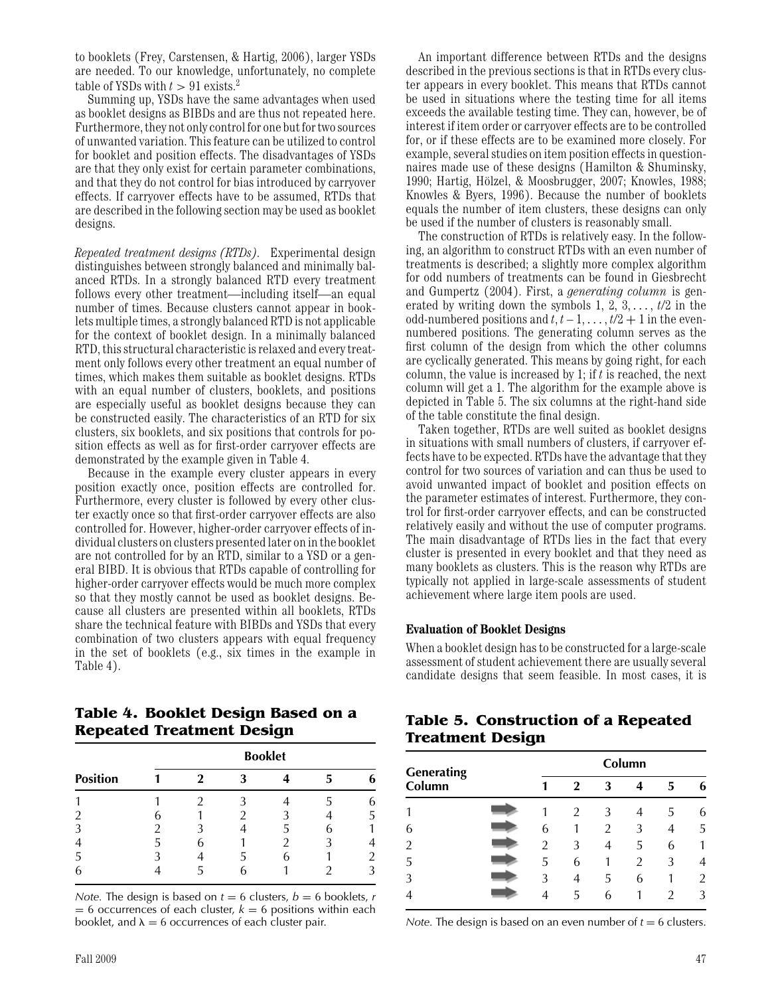to booklets (Frey, Carstensen, & Hartig, 2006), larger YSDs are needed. To our knowledge, unfortunately, no complete table of YSDs with  $t > 91$  exists.<sup>2</sup>

Summing up, YSDs have the same advantages when used as booklet designs as BIBDs and are thus not repeated here. Furthermore, they not only control for one but for two sources of unwanted variation. This feature can be utilized to control for booklet and position effects. The disadvantages of YSDs are that they only exist for certain parameter combinations, and that they do not control for bias introduced by carryover effects. If carryover effects have to be assumed, RTDs that are described in the following section may be used as booklet designs.

*Repeated treatment designs (RTDs)*. Experimental design distinguishes between strongly balanced and minimally balanced RTDs. In a strongly balanced RTD every treatment follows every other treatment—including itself—an equal number of times. Because clusters cannot appear in booklets multiple times, a strongly balanced RTD is not applicable for the context of booklet design. In a minimally balanced RTD, this structural characteristic is relaxed and every treatment only follows every other treatment an equal number of times, which makes them suitable as booklet designs. RTDs with an equal number of clusters, booklets, and positions are especially useful as booklet designs because they can be constructed easily. The characteristics of an RTD for six clusters, six booklets, and six positions that controls for position effects as well as for first-order carryover effects are demonstrated by the example given in Table 4.

Because in the example every cluster appears in every position exactly once, position effects are controlled for. Furthermore, every cluster is followed by every other cluster exactly once so that first-order carryover effects are also controlled for. However, higher-order carryover effects of individual clusters on clusters presented later on in the booklet are not controlled for by an RTD, similar to a YSD or a general BIBD. It is obvious that RTDs capable of controlling for higher-order carryover effects would be much more complex so that they mostly cannot be used as booklet designs. Because all clusters are presented within all booklets, RTDs share the technical feature with BIBDs and YSDs that every combination of two clusters appears with equal frequency in the set of booklets (e.g., six times in the example in Table 4).

# **Table 4. Booklet Design Based on a Repeated Treatment Design**

| <b>Position</b> | <b>Booklet</b> |  |   |  |   |  |  |  |  |
|-----------------|----------------|--|---|--|---|--|--|--|--|
|                 |                |  | 3 |  | 5 |  |  |  |  |
|                 |                |  |   |  |   |  |  |  |  |
| 2               | h              |  |   |  |   |  |  |  |  |
| 3               |                |  |   |  |   |  |  |  |  |
| 4               | 5              |  |   |  |   |  |  |  |  |
| 5               | 3              |  |   |  |   |  |  |  |  |
| 6               |                |  |   |  |   |  |  |  |  |

*Note.* The design is based on  $t = 6$  clusters,  $b = 6$  booklets, *r*  $= 6$  occurrences of each cluster,  $k = 6$  positions within each booklet, and  $\lambda = 6$  occurrences of each cluster pair.

An important difference between RTDs and the designs described in the previous sections is that in RTDs every cluster appears in every booklet. This means that RTDs cannot be used in situations where the testing time for all items exceeds the available testing time. They can, however, be of interest if item order or carryover effects are to be controlled for, or if these effects are to be examined more closely. For example, several studies on item position effects in questionnaires made use of these designs (Hamilton & Shuminsky, 1990; Hartig, Hölzel, & Moosbrugger, 2007; Knowles, 1988; Knowles & Byers, 1996). Because the number of booklets equals the number of item clusters, these designs can only be used if the number of clusters is reasonably small.

The construction of RTDs is relatively easy. In the following, an algorithm to construct RTDs with an even number of treatments is described; a slightly more complex algorithm for odd numbers of treatments can be found in Giesbrecht and Gumpertz (2004). First, a *generating column* is generated by writing down the symbols  $1, 2, 3, \ldots, t/2$  in the odd-numbered positions and  $t, t-1, \ldots, t/2+1$  in the evennumbered positions. The generating column serves as the first column of the design from which the other columns are cyclically generated. This means by going right, for each column, the value is increased by 1; if *t* is reached, the next column will get a 1. The algorithm for the example above is depicted in Table 5. The six columns at the right-hand side of the table constitute the final design.

Taken together, RTDs are well suited as booklet designs in situations with small numbers of clusters, if carryover effects have to be expected. RTDs have the advantage that they control for two sources of variation and can thus be used to avoid unwanted impact of booklet and position effects on the parameter estimates of interest. Furthermore, they control for first-order carryover effects, and can be constructed relatively easily and without the use of computer programs. The main disadvantage of RTDs lies in the fact that every cluster is presented in every booklet and that they need as many booklets as clusters. This is the reason why RTDs are typically not applied in large-scale assessments of student achievement where large item pools are used.

## **Evaluation of Booklet Designs**

When a booklet design has to be constructed for a large-scale assessment of student achievement there are usually several candidate designs that seem feasible. In most cases, it is

## **Table 5. Construction of a Repeated Treatment Design**

| Generating    |                |              |   | Column |   |   |
|---------------|----------------|--------------|---|--------|---|---|
| Column        | 1              | $\mathbf{p}$ | 3 |        | 5 | 6 |
|               |                |              | 3 |        | 5 | 6 |
| 6             | 6              |              | 2 | 3      | 4 | 5 |
| $\mathcal{P}$ | $\mathfrak{D}$ | 3            | 4 | 5      | 6 |   |
| 5             | 5              | 6            |   | 2      | 3 | 4 |
| 3             | 3              | 4            | 5 | 6      |   | 2 |
|               |                | 5            | 6 |        |   | 3 |

*Note.* The design is based on an even number of  $t = 6$  clusters.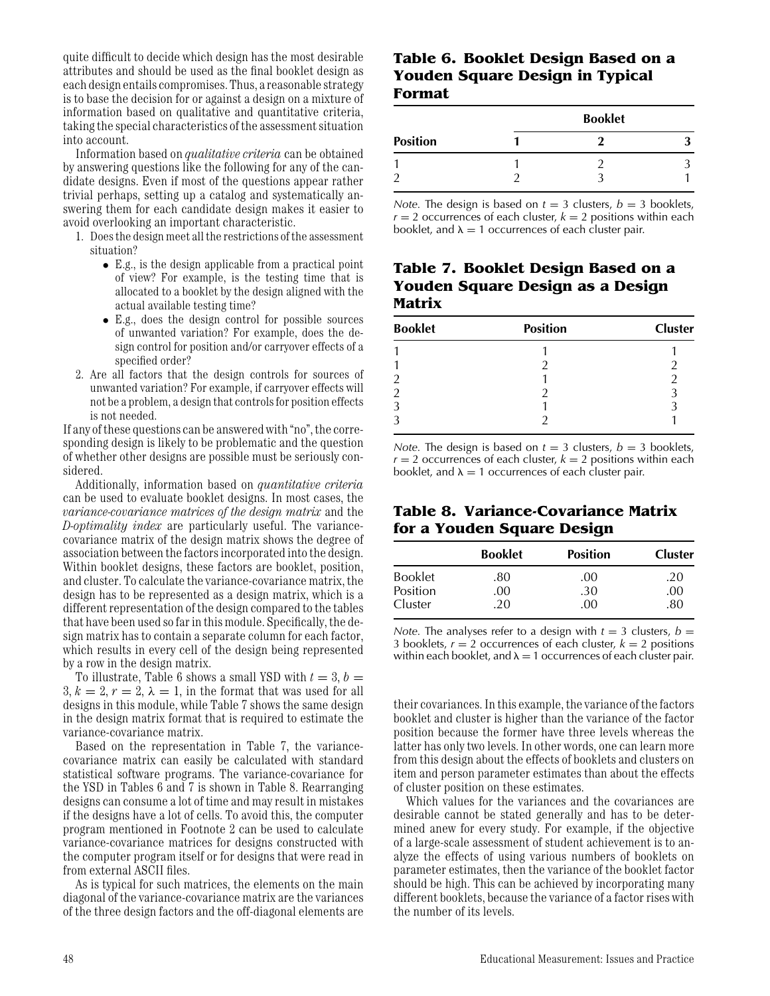quite difficult to decide which design has the most desirable attributes and should be used as the final booklet design as each design entails compromises. Thus, a reasonable strategy is to base the decision for or against a design on a mixture of information based on qualitative and quantitative criteria, taking the special characteristics of the assessment situation into account.

Information based on *qualitative criteria* can be obtained by answering questions like the following for any of the candidate designs. Even if most of the questions appear rather trivial perhaps, setting up a catalog and systematically answering them for each candidate design makes it easier to avoid overlooking an important characteristic.

- 1. Does the design meet all the restrictions of the assessment situation?
	- E.g., is the design applicable from a practical point of view? For example, is the testing time that is allocated to a booklet by the design aligned with the actual available testing time?
	- E.g., does the design control for possible sources of unwanted variation? For example, does the design control for position and/or carryover effects of a specified order?
- 2. Are all factors that the design controls for sources of unwanted variation? For example, if carryover effects will not be a problem, a design that controls for position effects is not needed.

If any of these questions can be answered with "no", the corresponding design is likely to be problematic and the question of whether other designs are possible must be seriously considered.

Additionally, information based on *quantitative criteria* can be used to evaluate booklet designs. In most cases, the *variance-covariance matrices of the design matrix* and the *D-optimality index* are particularly useful. The variancecovariance matrix of the design matrix shows the degree of association between the factors incorporated into the design. Within booklet designs, these factors are booklet, position, and cluster. To calculate the variance-covariance matrix, the design has to be represented as a design matrix, which is a different representation of the design compared to the tables that have been used so far in this module. Specifically, the design matrix has to contain a separate column for each factor, which results in every cell of the design being represented by a row in the design matrix.

To illustrate, Table 6 shows a small YSD with  $t = 3$ ,  $b =$ 3,  $k = 2$ ,  $r = 2$ ,  $\lambda = 1$ , in the format that was used for all designs in this module, while Table 7 shows the same design in the design matrix format that is required to estimate the variance-covariance matrix.

Based on the representation in Table 7, the variancecovariance matrix can easily be calculated with standard statistical software programs. The variance-covariance for the YSD in Tables 6 and 7 is shown in Table 8. Rearranging designs can consume a lot of time and may result in mistakes if the designs have a lot of cells. To avoid this, the computer program mentioned in Footnote 2 can be used to calculate variance-covariance matrices for designs constructed with the computer program itself or for designs that were read in from external ASCII files.

As is typical for such matrices, the elements on the main diagonal of the variance-covariance matrix are the variances of the three design factors and the off-diagonal elements are

# **Table 6. Booklet Design Based on a Youden Square Design in Typical Format**

|                 | <b>Booklet</b> |  |  |  |  |  |
|-----------------|----------------|--|--|--|--|--|
| <b>Position</b> |                |  |  |  |  |  |
|                 |                |  |  |  |  |  |
|                 |                |  |  |  |  |  |

*Note.* The design is based on  $t = 3$  clusters,  $b = 3$  booklets,  $r = 2$  occurrences of each cluster,  $k = 2$  positions within each booklet, and  $\lambda = 1$  occurrences of each cluster pair.

## **Table 7. Booklet Design Based on a Youden Square Design as a Design Matrix**

| <b>Booklet</b> | <b>Position</b> | <b>Cluster</b> |
|----------------|-----------------|----------------|
|                |                 |                |
|                |                 |                |
|                |                 |                |
| $\mathcal{D}$  |                 |                |
| 3              |                 |                |
| 3              |                 |                |

*Note.* The design is based on  $t = 3$  clusters,  $b = 3$  booklets,  $r = 2$  occurrences of each cluster,  $k = 2$  positions within each booklet, and  $\lambda = 1$  occurrences of each cluster pair.

# **Table 8. Variance-Covariance Matrix for a Youden Square Design**

|                | <b>Booklet</b> | <b>Position</b> | <b>Cluster</b> |
|----------------|----------------|-----------------|----------------|
| <b>Booklet</b> | .80            | .00             | .20            |
| Position       | .00            | .30             | .00            |
| Cluster        | .20            | .00             | .80            |

*Note.* The analyses refer to a design with  $t = 3$  clusters,  $b =$ 3 booklets,  $r = 2$  occurrences of each cluster,  $k = 2$  positions within each booklet, and  $\lambda = 1$  occurrences of each cluster pair.

their covariances. In this example, the variance of the factors booklet and cluster is higher than the variance of the factor position because the former have three levels whereas the latter has only two levels. In other words, one can learn more from this design about the effects of booklets and clusters on item and person parameter estimates than about the effects of cluster position on these estimates.

Which values for the variances and the covariances are desirable cannot be stated generally and has to be determined anew for every study. For example, if the objective of a large-scale assessment of student achievement is to analyze the effects of using various numbers of booklets on parameter estimates, then the variance of the booklet factor should be high. This can be achieved by incorporating many different booklets, because the variance of a factor rises with the number of its levels.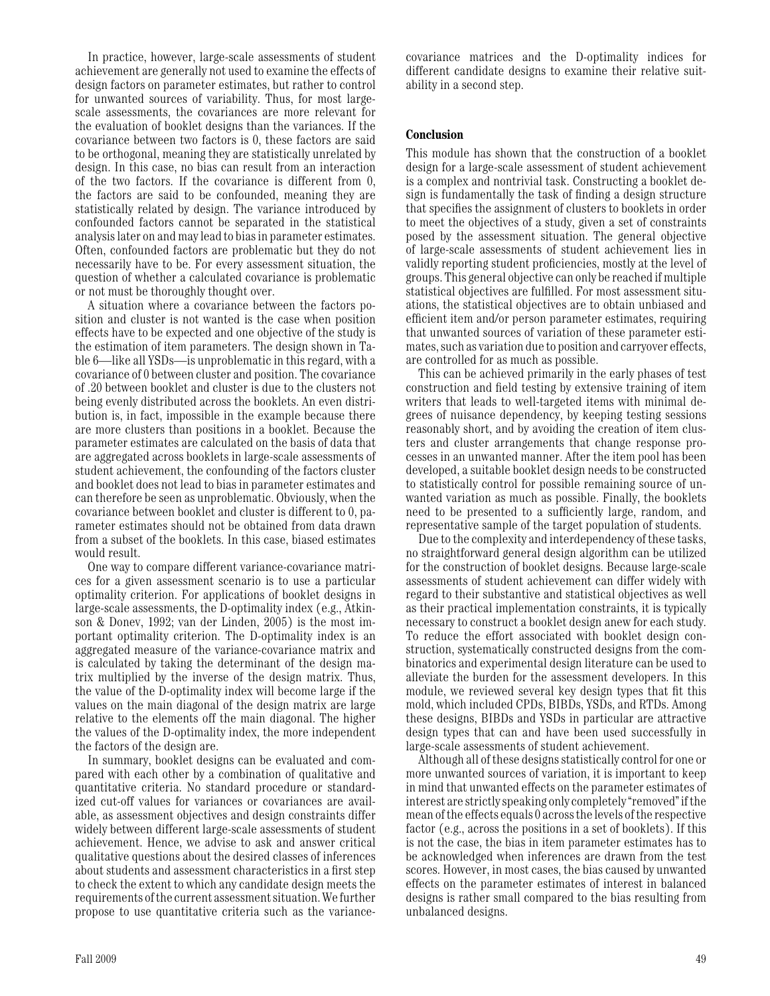In practice, however, large-scale assessments of student achievement are generally not used to examine the effects of design factors on parameter estimates, but rather to control for unwanted sources of variability. Thus, for most largescale assessments, the covariances are more relevant for the evaluation of booklet designs than the variances. If the covariance between two factors is 0, these factors are said to be orthogonal, meaning they are statistically unrelated by design. In this case, no bias can result from an interaction of the two factors. If the covariance is different from 0, the factors are said to be confounded, meaning they are statistically related by design. The variance introduced by confounded factors cannot be separated in the statistical analysis later on and may lead to bias in parameter estimates. Often, confounded factors are problematic but they do not necessarily have to be. For every assessment situation, the question of whether a calculated covariance is problematic or not must be thoroughly thought over.

A situation where a covariance between the factors position and cluster is not wanted is the case when position effects have to be expected and one objective of the study is the estimation of item parameters. The design shown in Table 6—like all YSDs—is unproblematic in this regard, with a covariance of 0 between cluster and position. The covariance of .20 between booklet and cluster is due to the clusters not being evenly distributed across the booklets. An even distribution is, in fact, impossible in the example because there are more clusters than positions in a booklet. Because the parameter estimates are calculated on the basis of data that are aggregated across booklets in large-scale assessments of student achievement, the confounding of the factors cluster and booklet does not lead to bias in parameter estimates and can therefore be seen as unproblematic. Obviously, when the covariance between booklet and cluster is different to 0, parameter estimates should not be obtained from data drawn from a subset of the booklets. In this case, biased estimates would result.

One way to compare different variance-covariance matrices for a given assessment scenario is to use a particular optimality criterion. For applications of booklet designs in large-scale assessments, the D-optimality index (e.g., Atkinson & Donev, 1992; van der Linden, 2005) is the most important optimality criterion. The D-optimality index is an aggregated measure of the variance-covariance matrix and is calculated by taking the determinant of the design matrix multiplied by the inverse of the design matrix. Thus, the value of the D-optimality index will become large if the values on the main diagonal of the design matrix are large relative to the elements off the main diagonal. The higher the values of the D-optimality index, the more independent the factors of the design are.

In summary, booklet designs can be evaluated and compared with each other by a combination of qualitative and quantitative criteria. No standard procedure or standardized cut-off values for variances or covariances are available, as assessment objectives and design constraints differ widely between different large-scale assessments of student achievement. Hence, we advise to ask and answer critical qualitative questions about the desired classes of inferences about students and assessment characteristics in a first step to check the extent to which any candidate design meets the requirements of the current assessment situation. Wefurther propose to use quantitative criteria such as the variancecovariance matrices and the D-optimality indices for different candidate designs to examine their relative suitability in a second step.

#### **Conclusion**

This module has shown that the construction of a booklet design for a large-scale assessment of student achievement is a complex and nontrivial task. Constructing a booklet design is fundamentally the task of finding a design structure that specifies the assignment of clusters to booklets in order to meet the objectives of a study, given a set of constraints posed by the assessment situation. The general objective of large-scale assessments of student achievement lies in validly reporting student proficiencies, mostly at the level of groups. This general objective can only be reached if multiple statistical objectives are fulfilled. For most assessment situations, the statistical objectives are to obtain unbiased and efficient item and/or person parameter estimates, requiring that unwanted sources of variation of these parameter estimates, such as variation due to position and carryover effects, are controlled for as much as possible.

This can be achieved primarily in the early phases of test construction and field testing by extensive training of item writers that leads to well-targeted items with minimal degrees of nuisance dependency, by keeping testing sessions reasonably short, and by avoiding the creation of item clusters and cluster arrangements that change response processes in an unwanted manner. After the item pool has been developed, a suitable booklet design needs to be constructed to statistically control for possible remaining source of unwanted variation as much as possible. Finally, the booklets need to be presented to a sufficiently large, random, and representative sample of the target population of students.

Due to the complexity and interdependency of these tasks, no straightforward general design algorithm can be utilized for the construction of booklet designs. Because large-scale assessments of student achievement can differ widely with regard to their substantive and statistical objectives as well as their practical implementation constraints, it is typically necessary to construct a booklet design anew for each study. To reduce the effort associated with booklet design construction, systematically constructed designs from the combinatorics and experimental design literature can be used to alleviate the burden for the assessment developers. In this module, we reviewed several key design types that fit this mold, which included CPDs, BIBDs, YSDs, and RTDs. Among these designs, BIBDs and YSDs in particular are attractive design types that can and have been used successfully in large-scale assessments of student achievement.

Although all of these designs statistically control for one or more unwanted sources of variation, it is important to keep in mind that unwanted effects on the parameter estimates of interest are strictly speaking only completely"removed" if the mean of the effects equals 0 across the levels of the respective factor (e.g., across the positions in a set of booklets). If this is not the case, the bias in item parameter estimates has to be acknowledged when inferences are drawn from the test scores. However, in most cases, the bias caused by unwanted effects on the parameter estimates of interest in balanced designs is rather small compared to the bias resulting from unbalanced designs.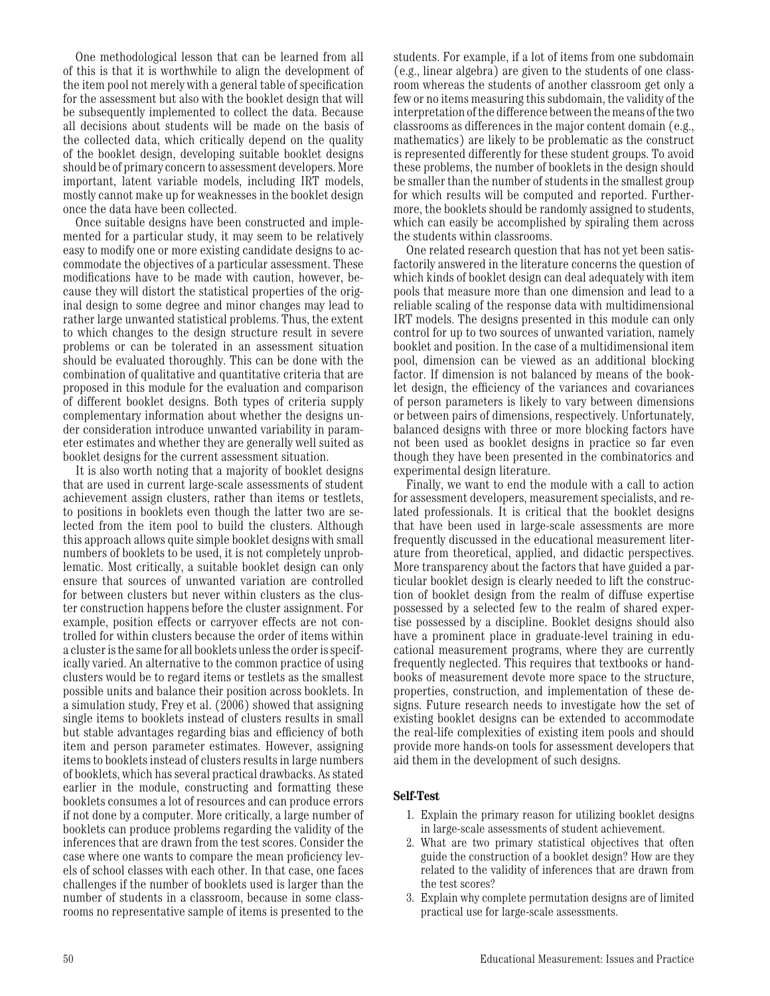One methodological lesson that can be learned from all of this is that it is worthwhile to align the development of the item pool not merely with a general table of specification for the assessment but also with the booklet design that will be subsequently implemented to collect the data. Because all decisions about students will be made on the basis of the collected data, which critically depend on the quality of the booklet design, developing suitable booklet designs should be of primary concern to assessment developers. More important, latent variable models, including IRT models, mostly cannot make up for weaknesses in the booklet design once the data have been collected.

Once suitable designs have been constructed and implemented for a particular study, it may seem to be relatively easy to modify one or more existing candidate designs to accommodate the objectives of a particular assessment. These modifications have to be made with caution, however, because they will distort the statistical properties of the original design to some degree and minor changes may lead to rather large unwanted statistical problems. Thus, the extent to which changes to the design structure result in severe problems or can be tolerated in an assessment situation should be evaluated thoroughly. This can be done with the combination of qualitative and quantitative criteria that are proposed in this module for the evaluation and comparison of different booklet designs. Both types of criteria supply complementary information about whether the designs under consideration introduce unwanted variability in parameter estimates and whether they are generally well suited as booklet designs for the current assessment situation.

It is also worth noting that a majority of booklet designs that are used in current large-scale assessments of student achievement assign clusters, rather than items or testlets, to positions in booklets even though the latter two are selected from the item pool to build the clusters. Although this approach allows quite simple booklet designs with small numbers of booklets to be used, it is not completely unproblematic. Most critically, a suitable booklet design can only ensure that sources of unwanted variation are controlled for between clusters but never within clusters as the cluster construction happens before the cluster assignment. For example, position effects or carryover effects are not controlled for within clusters because the order of items within a cluster is the same for all booklets unless the order is specifically varied. An alternative to the common practice of using clusters would be to regard items or testlets as the smallest possible units and balance their position across booklets. In a simulation study, Frey et al. (2006) showed that assigning single items to booklets instead of clusters results in small but stable advantages regarding bias and efficiency of both item and person parameter estimates. However, assigning items to booklets instead of clusters results in large numbers of booklets, which has several practical drawbacks. As stated earlier in the module, constructing and formatting these booklets consumes a lot of resources and can produce errors if not done by a computer. More critically, a large number of booklets can produce problems regarding the validity of the inferences that are drawn from the test scores. Consider the case where one wants to compare the mean proficiency levels of school classes with each other. In that case, one faces challenges if the number of booklets used is larger than the number of students in a classroom, because in some classrooms no representative sample of items is presented to the

students. For example, if a lot of items from one subdomain (e.g., linear algebra) are given to the students of one classroom whereas the students of another classroom get only a few or no items measuring this subdomain, the validity of the interpretation of the difference between the means of the two classrooms as differences in the major content domain (e.g., mathematics) are likely to be problematic as the construct is represented differently for these student groups. To avoid these problems, the number of booklets in the design should be smaller than the number of students in the smallest group for which results will be computed and reported. Furthermore, the booklets should be randomly assigned to students, which can easily be accomplished by spiraling them across the students within classrooms.

One related research question that has not yet been satisfactorily answered in the literature concerns the question of which kinds of booklet design can deal adequately with item pools that measure more than one dimension and lead to a reliable scaling of the response data with multidimensional IRT models. The designs presented in this module can only control for up to two sources of unwanted variation, namely booklet and position. In the case of a multidimensional item pool, dimension can be viewed as an additional blocking factor. If dimension is not balanced by means of the booklet design, the efficiency of the variances and covariances of person parameters is likely to vary between dimensions or between pairs of dimensions, respectively. Unfortunately, balanced designs with three or more blocking factors have not been used as booklet designs in practice so far even though they have been presented in the combinatorics and experimental design literature.

Finally, we want to end the module with a call to action for assessment developers, measurement specialists, and related professionals. It is critical that the booklet designs that have been used in large-scale assessments are more frequently discussed in the educational measurement literature from theoretical, applied, and didactic perspectives. More transparency about the factors that have guided a particular booklet design is clearly needed to lift the construction of booklet design from the realm of diffuse expertise possessed by a selected few to the realm of shared expertise possessed by a discipline. Booklet designs should also have a prominent place in graduate-level training in educational measurement programs, where they are currently frequently neglected. This requires that textbooks or handbooks of measurement devote more space to the structure, properties, construction, and implementation of these designs. Future research needs to investigate how the set of existing booklet designs can be extended to accommodate the real-life complexities of existing item pools and should provide more hands-on tools for assessment developers that aid them in the development of such designs.

## **Self-Test**

- 1. Explain the primary reason for utilizing booklet designs in large-scale assessments of student achievement.
- 2. What are two primary statistical objectives that often guide the construction of a booklet design? How are they related to the validity of inferences that are drawn from the test scores?
- 3. Explain why complete permutation designs are of limited practical use for large-scale assessments.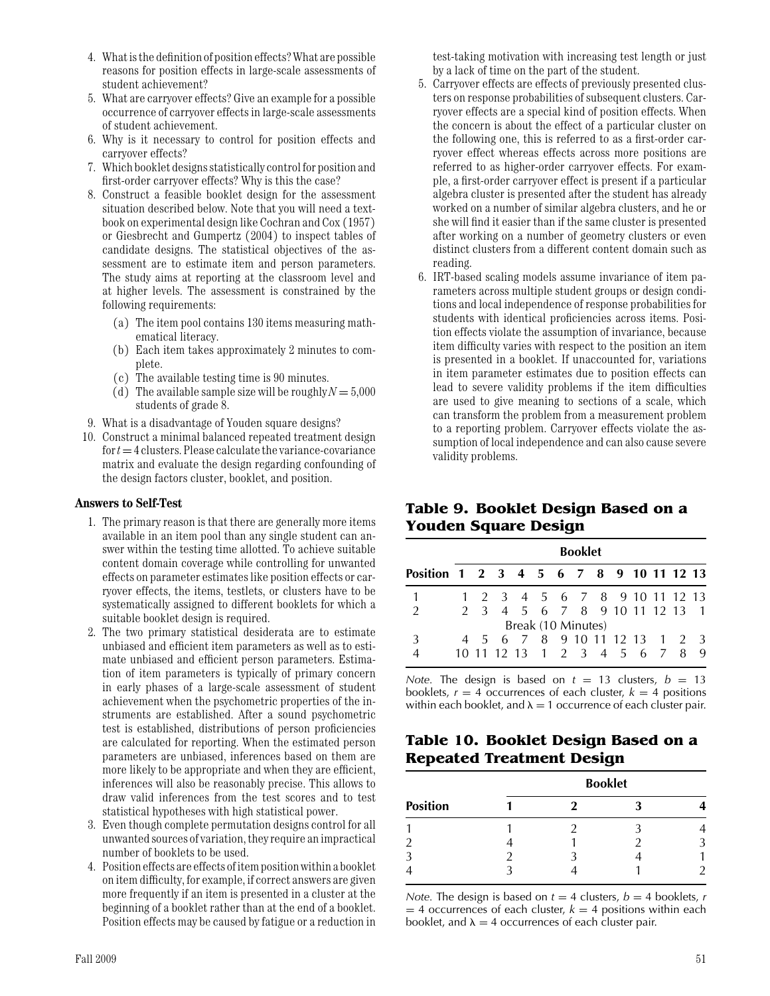- 4. Whatis the definition of position effects? What are possible reasons for position effects in large-scale assessments of student achievement?
- 5. What are carryover effects? Give an example for a possible occurrence of carryover effects in large-scale assessments of student achievement.
- 6. Why is it necessary to control for position effects and carryover effects?
- 7. Which booklet designs statistically controlfor position and first-order carryover effects? Why is this the case?
- 8. Construct a feasible booklet design for the assessment situation described below. Note that you will need a textbook on experimental design like Cochran and Cox (1957) or Giesbrecht and Gumpertz (2004) to inspect tables of candidate designs. The statistical objectives of the assessment are to estimate item and person parameters. The study aims at reporting at the classroom level and at higher levels. The assessment is constrained by the following requirements:
	- (a) The item pool contains 130 items measuring mathematical literacy.
	- (b) Each item takes approximately 2 minutes to complete.
	- (c) The available testing time is 90 minutes.
	- (d) The available sample size will be roughly  $N = 5,000$ students of grade 8.
- 9. What is a disadvantage of Youden square designs?
- 10. Construct a minimal balanced repeated treatment design for*t*=4 clusters. Please calculate the variance-covariance matrix and evaluate the design regarding confounding of the design factors cluster, booklet, and position.

#### **Answers to Self-Test**

- 1. The primary reason is that there are generally more items available in an item pool than any single student can answer within the testing time allotted. To achieve suitable content domain coverage while controlling for unwanted effects on parameter estimates like position effects or carryover effects, the items, testlets, or clusters have to be systematically assigned to different booklets for which a suitable booklet design is required.
- 2. The two primary statistical desiderata are to estimate unbiased and efficient item parameters as well as to estimate unbiased and efficient person parameters. Estimation of item parameters is typically of primary concern in early phases of a large-scale assessment of student achievement when the psychometric properties of the instruments are established. After a sound psychometric test is established, distributions of person proficiencies are calculated for reporting. When the estimated person parameters are unbiased, inferences based on them are more likely to be appropriate and when they are efficient, inferences will also be reasonably precise. This allows to draw valid inferences from the test scores and to test statistical hypotheses with high statistical power.
- 3. Even though complete permutation designs control for all unwanted sources of variation, they require an impractical number of booklets to be used.
- 4. Position effects are effects ofitem position within a booklet on item difficulty, for example, if correct answers are given more frequently if an item is presented in a cluster at the beginning of a booklet rather than at the end of a booklet. Position effects may be caused by fatigue or a reduction in

test-taking motivation with increasing test length or just by a lack of time on the part of the student.

- 5. Carryover effects are effects of previously presented clusters on response probabilities of subsequent clusters. Carryover effects are a special kind of position effects. When the concern is about the effect of a particular cluster on the following one, this is referred to as a first-order carryover effect whereas effects across more positions are referred to as higher-order carryover effects. For example, a first-order carryover effect is present if a particular algebra cluster is presented after the student has already worked on a number of similar algebra clusters, and he or she will find it easier than if the same cluster is presented after working on a number of geometry clusters or even distinct clusters from a different content domain such as reading.
- 6. IRT-based scaling models assume invariance of item parameters across multiple student groups or design conditions and local independence of response probabilities for students with identical proficiencies across items. Position effects violate the assumption of invariance, because item difficulty varies with respect to the position an item is presented in a booklet. If unaccounted for, variations in item parameter estimates due to position effects can lead to severe validity problems if the item difficulties are used to give meaning to sections of a scale, which can transform the problem from a measurement problem to a reporting problem. Carryover effects violate the assumption of local independence and can also cause severe validity problems.

# **Table 9. Booklet Design Based on a Youden Square Design**

|                                        | <b>Booklet</b> |  |  |                               |  |  |  |  |  |  |
|----------------------------------------|----------------|--|--|-------------------------------|--|--|--|--|--|--|
| Position 1 2 3 4 5 6 7 8 9 10 11 12 13 |                |  |  |                               |  |  |  |  |  |  |
| 1                                      |                |  |  | 2 3 4 5 6 7 8 9 10 11 12 13   |  |  |  |  |  |  |
| $\mathcal{P}$                          |                |  |  | 2 3 4 5 6 7 8 9 10 11 12 13 1 |  |  |  |  |  |  |
|                                        |                |  |  | Break (10 Minutes)            |  |  |  |  |  |  |
| 3                                      |                |  |  | 4 5 6 7 8 9 10 11 12 13 1 2 3 |  |  |  |  |  |  |
|                                        |                |  |  | 10 11 12 13 1 2 3 4 5 6 7 8   |  |  |  |  |  |  |

*Note.* The design is based on  $t = 13$  clusters,  $b = 13$ booklets,  $r = 4$  occurrences of each cluster,  $k = 4$  positions within each booklet, and  $\lambda = 1$  occurrence of each cluster pair.

## **Table 10. Booklet Design Based on a Repeated Treatment Design**

| <b>Position</b> | <b>Booklet</b> |  |  |  |  |  |  |
|-----------------|----------------|--|--|--|--|--|--|
|                 |                |  |  |  |  |  |  |
|                 |                |  |  |  |  |  |  |
|                 |                |  |  |  |  |  |  |
|                 |                |  |  |  |  |  |  |
|                 |                |  |  |  |  |  |  |

*Note.* The design is based on  $t = 4$  clusters,  $b = 4$  booklets, *r*  $=$  4 occurrences of each cluster,  $k = 4$  positions within each booklet, and  $\lambda = 4$  occurrences of each cluster pair.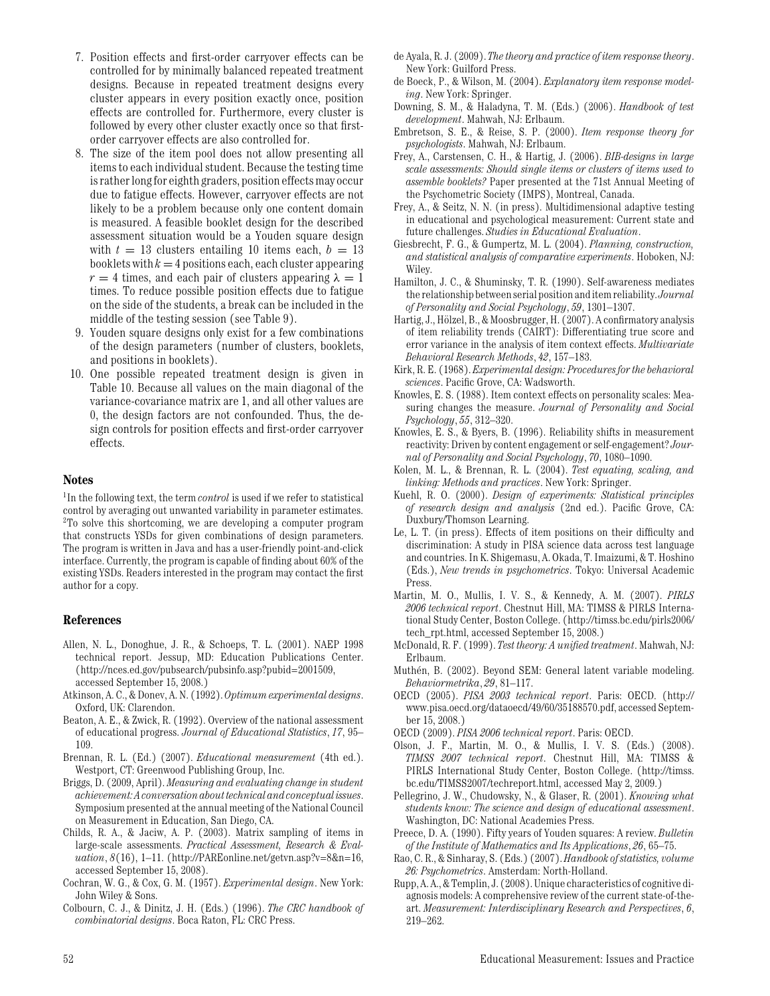- 7. Position effects and first-order carryover effects can be controlled for by minimally balanced repeated treatment designs. Because in repeated treatment designs every cluster appears in every position exactly once, position effects are controlled for. Furthermore, every cluster is followed by every other cluster exactly once so that firstorder carryover effects are also controlled for.
- 8. The size of the item pool does not allow presenting all items to each individual student. Because the testing time is rather longfor eighth graders, position effects may occur due to fatigue effects. However, carryover effects are not likely to be a problem because only one content domain is measured. A feasible booklet design for the described assessment situation would be a Youden square design with  $t = 13$  clusters entailing 10 items each,  $b = 13$ booklets with  $k = 4$  positions each, each cluster appearing  $r = 4$  times, and each pair of clusters appearing  $\lambda = 1$ times. To reduce possible position effects due to fatigue on the side of the students, a break can be included in the middle of the testing session (see Table 9).
- 9. Youden square designs only exist for a few combinations of the design parameters (number of clusters, booklets, and positions in booklets).
- 10. One possible repeated treatment design is given in Table 10. Because all values on the main diagonal of the variance-covariance matrix are 1, and all other values are 0, the design factors are not confounded. Thus, the design controls for position effects and first-order carryover effects.

#### **Notes**

1 In the following text, the term *control* is used if we refer to statistical control by averaging out unwanted variability in parameter estimates.  $2$ To solve this shortcoming, we are developing a computer program that constructs YSDs for given combinations of design parameters. The program is written in Java and has a user-friendly point-and-click interface. Currently, the program is capable of finding about 60% of the existing YSDs. Readers interested in the program may contact the first author for a copy.

#### **References**

- Allen, N. L., Donoghue, J. R., & Schoeps, T. L. (2001). NAEP 1998 technical report. Jessup, MD: Education Publications Center. (http://nces.ed.gov/pubsearch/pubsinfo.asp?pubid=2001509, accessed September 15, 2008.)
- Atkinson, A. C., & Donev, A. N. (1992). *Optimum experimental designs*. Oxford, UK: Clarendon.
- Beaton, A. E., & Zwick, R. (1992). Overview of the national assessment of educational progress. *Journal of Educational Statistics*, *17*, 95– 109.
- Brennan, R. L. (Ed.) (2007). *Educational measurement* (4th ed.). Westport, CT: Greenwood Publishing Group, Inc.
- Briggs, D. (2009, April). *Measuring and evaluating change in student achievement: A conversation abouttechnical and conceptualissues*. Symposium presented at the annual meeting of the National Council on Measurement in Education, San Diego, CA.
- Childs, R. A., & Jaciw, A. P. (2003). Matrix sampling of items in large-scale assessments. *Practical Assessment, Research & Evaluation*, *8*(16), 1–11. (http://PAREonline.net/getvn.asp?v=8&n=16, accessed September 15, 2008).
- Cochran, W. G., & Cox, G. M. (1957). *Experimental design*. New York: John Wiley & Sons.
- Colbourn, C. J., & Dinitz, J. H. (Eds.) (1996). *The CRC handbook of combinatorial designs*. Boca Raton, FL: CRC Press.
- de Ayala, R. J. (2009). *The theory and practice of item response theory*. New York: Guilford Press.
- de Boeck, P., & Wilson, M. (2004). *Explanatory item response modeling*. New York: Springer.
- Downing, S. M., & Haladyna, T. M. (Eds.) (2006). *Handbook of test development*. Mahwah, NJ: Erlbaum.
- Embretson, S. E., & Reise, S. P. (2000). *Item response theory for psychologists*. Mahwah, NJ: Erlbaum.
- Frey, A., Carstensen, C. H., & Hartig, J. (2006). *BIB-designs in large scale assessments: Should single items or clusters of items used to assemble booklets?* Paper presented at the 71st Annual Meeting of the Psychometric Society (IMPS), Montreal, Canada.
- Frey, A., & Seitz, N. N. (in press). Multidimensional adaptive testing in educational and psychological measurement: Current state and future challenges. *Studies in Educational Evaluation*.
- Giesbrecht, F. G., & Gumpertz, M. L. (2004). *Planning, construction, and statistical analysis of comparative experiments*. Hoboken, NJ: Wiley.
- Hamilton, J. C., & Shuminsky, T. R. (1990). Self-awareness mediates the relationship between serial position anditem reliability. *Journal of Personality and Social Psychology*, *59*, 1301–1307.
- Hartig, J., Hölzel, B., & Moosbrugger, H. (2007). A confirmatory analysis of item reliability trends (CAIRT): Differentiating true score and error variance in the analysis of item context effects. *Multivariate Behavioral Research Methods*, *42*, 157–183.
- Kirk, R. E. (1968). *Experimental design: Procedures for the behavioral sciences*. Pacific Grove, CA: Wadsworth.
- Knowles, E. S. (1988). Item context effects on personality scales: Measuring changes the measure. *Journal of Personality and Social Psychology*, *55*, 312–320.
- Knowles, E. S., & Byers, B. (1996). Reliability shifts in measurement reactivity: Driven by content engagement or self-engagement? *Journal of Personality and Social Psychology*, *70*, 1080–1090.
- Kolen, M. L., & Brennan, R. L. (2004). *Test equating, scaling, and linking: Methods and practices*. New York: Springer.
- Kuehl, R. O. (2000). *Design of experiments: Statistical principles of research design and analysis* (2nd ed.). Pacific Grove, CA: Duxbury/Thomson Learning.
- Le, L. T. (in press). Effects of item positions on their difficulty and discrimination: A study in PISA science data across test language and countries. In K. Shigemasu, A. Okada, T. Imaizumi, & T. Hoshino (Eds.), *New trends in psychometrics*. Tokyo: Universal Academic Press.
- Martin, M. O., Mullis, I. V. S., & Kennedy, A. M. (2007). *PIRLS 2006 technical report*. Chestnut Hill, MA: TIMSS & PIRLS International Study Center, Boston College. (http://timss.bc.edu/pirls2006/ tech\_rpt.html, accessed September 15, 2008.)
- McDonald, R. F. (1999). *Test theory: A unified treatment*. Mahwah, NJ: Erlbaum.
- Muthén, B. (2002). Beyond SEM: General latent variable modeling. *Behaviormetrika*, *29*, 81–117.
- OECD (2005). *PISA 2003 technical report*. Paris: OECD. (http:// www.pisa.oecd.org/dataoecd/49/60/35188570.pdf, accessed September 15, 2008.)
- OECD (2009). *PISA 2006 technical report*. Paris: OECD.
- Olson, J. F., Martin, M. O., & Mullis, I. V. S. (Eds.) (2008). *TIMSS 2007 technical report*. Chestnut Hill, MA: TIMSS & PIRLS International Study Center, Boston College. (http://timss. bc.edu/TIMSS2007/techreport.html, accessed May 2, 2009.)
- Pellegrino, J. W., Chudowsky, N., & Glaser, R. (2001). *Knowing what students know: The science and design of educational assessment*. Washington, DC: National Academies Press.
- Preece, D. A. (1990). Fifty years of Youden squares: A review. *Bulletin of the Institute of Mathematics and Its Applications*, *26*, 65–75.
- Rao, C. R., & Sinharay, S. (Eds.) (2007). *Handbook of statistics, volume 26: Psychometrics*. Amsterdam: North-Holland.
- Rupp, A. A., & Templin, J. (2008). Unique characteristics of cognitive diagnosis models: A comprehensive review of the current state-of-theart. *Measurement: Interdisciplinary Research and Perspectives*, *6*, 219–262.